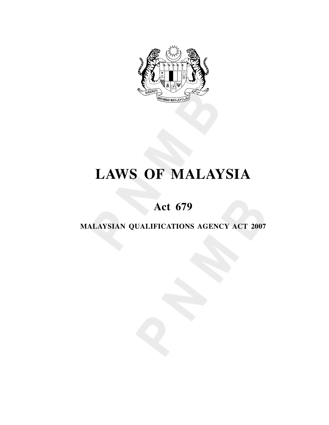

# **LAWS OF MALAYSIA**

## **Act 679**

## **MALAYSIAN QUALIFICATIONS AGENCY ACT 2007**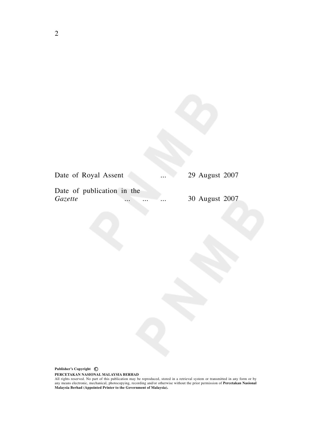| Date of Royal Assent       |                      | $\cdots$ | 29 August 2007 |
|----------------------------|----------------------|----------|----------------|
| Date of publication in the |                      |          |                |
| <i>Gazette</i>             | $\cdots$<br>$\cdots$ | $\cdots$ | 30 August 2007 |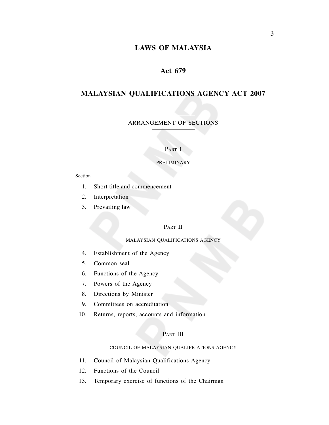## **LAWS OF MALAYSIA**

## **Act 679**

## **MALAYSIAN QUALIFICATIONS AGENCY ACT 2007**

ARRANGEMENT OF SECTIONS

#### PART I

#### PRELIMINARY

#### Section

- 1. Short title and commencement
- 2. Interpretation
- 3. Prevailing law

#### PART II

#### MALAYSIAN QUALIFICATIONS AGENCY

- 4. Establishment of the Agency
- 5. Common seal
- 6. Functions of the Agency
- 7. Powers of the Agency
- 8. Directions by Minister
- 9. Committees on accreditation
- 10. Returns, reports, accounts and information

## PART III

#### COUNCIL OF MALAYSIAN QUALIFICATIONS AGENCY

- 11. Council of Malaysian Qualifications Agency
- 12. Functions of the Council
- 13. Temporary exercise of functions of the Chairman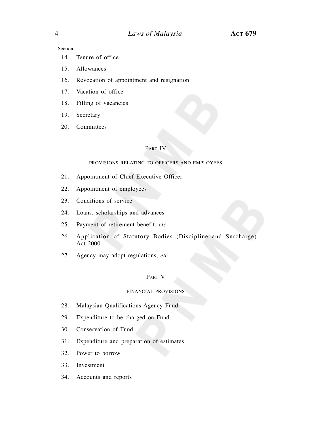Section

- 14. Tenure of office
- 15. Allowances
- 16. Revocation of appointment and resignation
- 17. Vacation of office
- 18. Filling of vacancies
- 19. Secretary
- 20. Committees

## PART IV

#### PROVISIONS RELATING TO OFFICERS AND EMPLOYEES

- 21. Appointment of Chief Executive Officer
- 22. Appointment of employees
- 23. Conditions of service
- 24. Loans, scholarships and advances
- 25. Payment of retirement benefit, *etc.*
- 26. Application of Statutory Bodies (Discipline and Surcharge) Act 2000
- 27. Agency may adopt regulations, *etc.*

#### PART V

#### FINANCIAL PROVISIONS

- 28. Malaysian Qualifications Agency Fund
- 29. Expenditure to be charged on Fund
- 30. Conservation of Fund
- 31. Expenditure and preparation of estimates
- 32. Power to borrow
- 33. Investment
- 34. Accounts and reports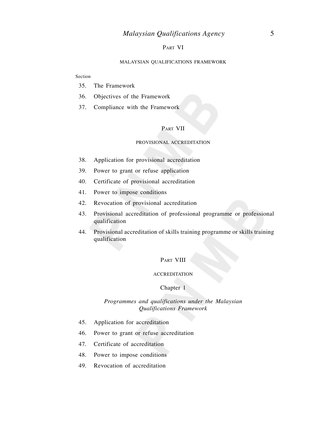## PART VI

#### MALAYSIAN QUALIFICATIONS FRAMEWORK

#### Section

- 35. The Framework
- 36. Objectives of the Framework
- 37. Compliance with the Framework

## PART VII

#### PROVISIONAL ACCREDITATION

- 38. Application for provisional accreditation
- 39. Power to grant or refuse application
- 40. Certificate of provisional accreditation
- 41. Power to impose conditions
- 42. Revocation of provisional accreditation
- 43. Provisional accreditation of professional programme or professional qualification
- 44. Provisional accreditation of skills training programme or skills training qualification

#### PART VIII

#### **ACCREDITATION**

#### Chapter 1

## *Programmes and qualifications under the Malaysian Qualifications Framework*

- 45. Application for accreditation
- 46. Power to grant or refuse accreditation
- 47. Certificate of accreditation
- 48. Power to impose conditions
- 49. Revocation of accreditation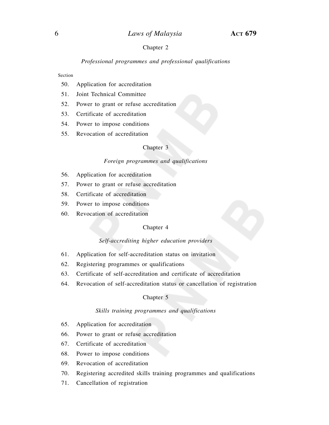#### Chapter 2

#### *Professional programmes and professional qualifications*

#### Section

- 50. Application for accreditation
- 51. Joint Technical Committee
- 52. Power to grant or refuse accreditation
- 53. Certificate of accreditation
- 54. Power to impose conditions
- 55. Revocation of accreditation

#### Chapter 3

#### *Foreign programmes and qualifications*

- 56. Application for accreditation
- 57. Power to grant or refuse accreditation
- 58. Certificate of accreditation
- 59. Power to impose conditions
- 60. Revocation of accreditation

#### Chapter 4

#### *Self-accrediting higher education providers*

- 61. Application for self-accreditation status on invitation
- 62. Registering programmes or qualifications
- 63. Certificate of self-accreditation and certificate of accreditation
- 64. Revocation of self-accreditation status or cancellation of registration

#### Chapter 5

#### *Skills training programmes and qualifications*

- 65. Application for accreditation
- 66. Power to grant or refuse accreditation
- 67. Certificate of accreditation
- 68. Power to impose conditions
- 69. Revocation of accreditation
- 70. Registering accredited skills training programmes and qualifications
- 71. Cancellation of registration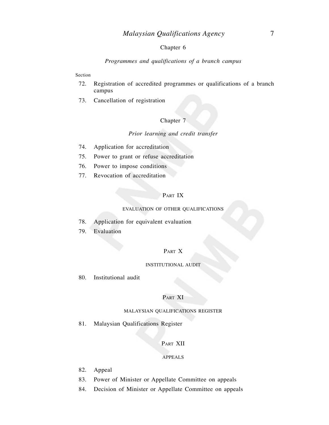## Chapter 6

#### *Programmes and qualifications of a branch campus*

#### Section

- 72. Registration of accredited programmes or qualifications of a branch campus
- 73. Cancellation of registration

#### Chapter 7

## *Prior learning and credit transfer*

- 74. Application for accreditation
- 75. Power to grant or refuse accreditation
- 76. Power to impose conditions
- 77. Revocation of accreditation

## PART IX

#### EVALUATION OF OTHER QUALIFICATIONS

- 78. Application for equivalent evaluation
- 79. Evaluation

## PART X

#### INSTITUTIONAL AUDIT

80. Institutional audit

#### PART XI

#### MALAYSIAN QUALIFICATIONS REGISTER

81. Malaysian Qualifications Register

## PART XII

#### APPEALS

- 82. Appeal
- 83. Power of Minister or Appellate Committee on appeals
- 84. Decision of Minister or Appellate Committee on appeals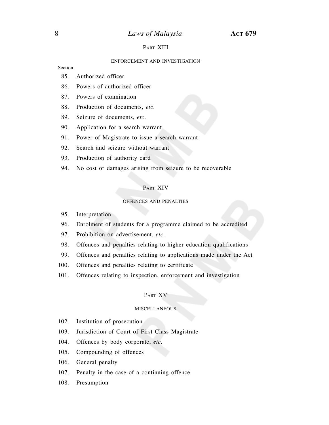## 8 *Laws of Malaysia* **ACT 679**

#### PART XIII

#### ENFORCEMENT AND INVESTIGATION

Section

- 85. Authorized officer
- 86. Powers of authorized officer
- 87. Powers of examination
- 88. Production of documents, *etc.*
- 89. Seizure of documents, *etc.*
- 90. Application for a search warrant
- 91. Power of Magistrate to issue a search warrant
- 92. Search and seizure without warrant
- 93. Production of authority card
- 94. No cost or damages arising from seizure to be recoverable

#### PART XIV

#### OFFENCES AND PENALTIES

- 95. Interpretation
- 96. Enrolment of students for a programme claimed to be accredited
- 97. Prohibition on advertisement, *etc.*
- 98. Offences and penalties relating to higher education qualifications
- 99. Offences and penalties relating to applications made under the Act
- 100. Offences and penalties relating to certificate
- 101. Offences relating to inspection, enforcement and investigation

#### PART XV

#### **MISCELLANEOUS**

- 102. Institution of prosecution
- 103. Jurisdiction of Court of First Class Magistrate
- 104. Offences by body corporate, *etc.*
- 105. Compounding of offences
- 106. General penalty
- 107. Penalty in the case of a continuing offence
- 108. Presumption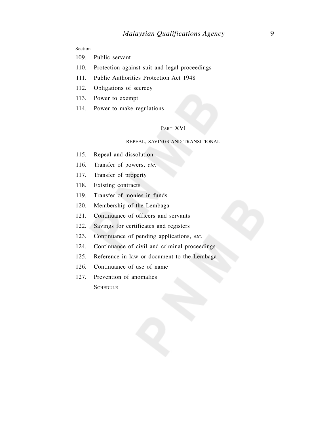## **Section**

- 109. Public servant
- 110. Protection against suit and legal proceedings
- 111. Public Authorities Protection Act 1948
- 112. Obligations of secrecy
- 113. Power to exempt
- 114. Power to make regulations

## PART XVI

## REPEAL, SAVINGS AND TRANSITIONAL

- 115. Repeal and dissolution
- 116. Transfer of powers, *etc.*
- 117. Transfer of property
- 118. Existing contracts
- 119. Transfer of monies in funds
- 120. Membership of the Lembaga
- 121. Continuance of officers and servants
- 122. Savings for certificates and registers
- 123. Continuance of pending applications, *etc.*
- 124. Continuance of civil and criminal proceedings
- 125. Reference in law or document to the Lembaga
- 126. Continuance of use of name
- 127. Prevention of anomalies

**SCHEDULE**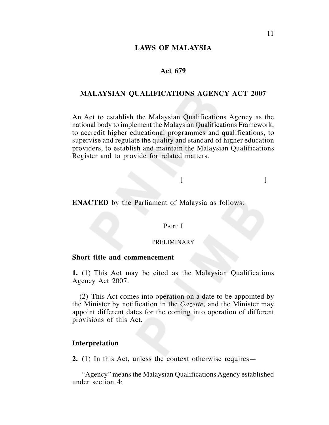## **LAWS OF MALAYSIA**

## **Act 679**

## **MALAYSIAN QUALIFICATIONS AGENCY ACT 2007**

An Act to establish the Malaysian Qualifications Agency as the national body to implement the Malaysian Qualifications Framework, to accredit higher educational programmes and qualifications, to supervise and regulate the quality and standard of higher education providers, to establish and maintain the Malaysian Qualifications Register and to provide for related matters.

 $[$ 

**ENACTED** by the Parliament of Malaysia as follows:

#### PART I

#### PRELIMINARY

## **Short title and commencement**

**1.** (1) This Act may be cited as the Malaysian Qualifications Agency Act 2007.

(2) This Act comes into operation on a date to be appointed by the Minister by notification in the *Gazette*, and the Minister may appoint different dates for the coming into operation of different provisions of this Act.

## **Interpretation**

**2.** (1) In this Act, unless the context otherwise requires—

"Agency" means the Malaysian Qualifications Agency established under section 4;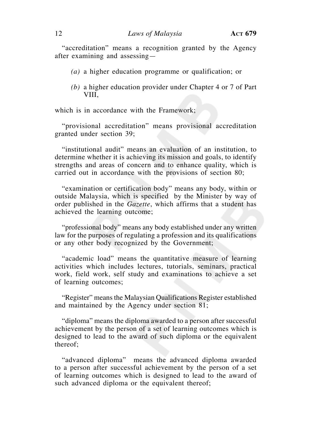"accreditation" means a recognition granted by the Agency after examining and assessing—

- *(a)* a higher education programme or qualification; or
- *(b)* a higher education provider under Chapter 4 or 7 of Part VIII,

which is in accordance with the Framework;

"provisional accreditation" means provisional accreditation granted under section 39;

"institutional audit" means an evaluation of an institution, to determine whether it is achieving its mission and goals, to identify strengths and areas of concern and to enhance quality, which is carried out in accordance with the provisions of section 80;

"examination or certification body" means any body, within or outside Malaysia, which is specified by the Minister by way of order published in the *Gazette*, which affirms that a student has achieved the learning outcome;

"professional body" means any body established under any written law for the purposes of regulating a profession and its qualifications or any other body recognized by the Government;

"academic load" means the quantitative measure of learning activities which includes lectures, tutorials, seminars, practical work, field work, self study and examinations to achieve a set of learning outcomes;

"Register" means the Malaysian Qualifications Register established and maintained by the Agency under section 81;

"diploma" means the diploma awarded to a person after successful achievement by the person of a set of learning outcomes which is designed to lead to the award of such diploma or the equivalent thereof;

"advanced diploma" means the advanced diploma awarded to a person after successful achievement by the person of a set of learning outcomes which is designed to lead to the award of such advanced diploma or the equivalent thereof;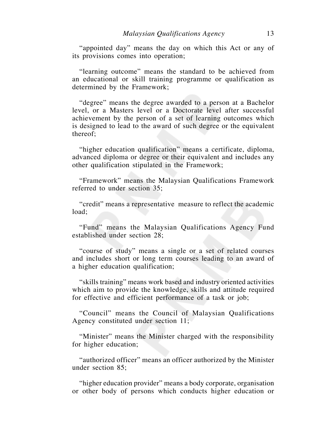"appointed day" means the day on which this Act or any of its provisions comes into operation;

"learning outcome" means the standard to be achieved from an educational or skill training programme or qualification as determined by the Framework;

"degree" means the degree awarded to a person at a Bachelor level, or a Masters level or a Doctorate level after successful achievement by the person of a set of learning outcomes which is designed to lead to the award of such degree or the equivalent thereof;

"higher education qualification" means a certificate, diploma, advanced diploma or degree or their equivalent and includes any other qualification stipulated in the Framework;

"Framework" means the Malaysian Qualifications Framework referred to under section 35;

"credit" means a representative measure to reflect the academic load;

"Fund" means the Malaysian Qualifications Agency Fund established under section 28;

"course of study" means a single or a set of related courses and includes short or long term courses leading to an award of a higher education qualification;

"skills training" means work based and industry oriented activities which aim to provide the knowledge, skills and attitude required for effective and efficient performance of a task or job;

"Council" means the Council of Malaysian Qualifications Agency constituted under section 11;

"Minister" means the Minister charged with the responsibility for higher education;

"authorized officer" means an officer authorized by the Minister under section 85;

"higher education provider" means a body corporate, organisation or other body of persons which conducts higher education or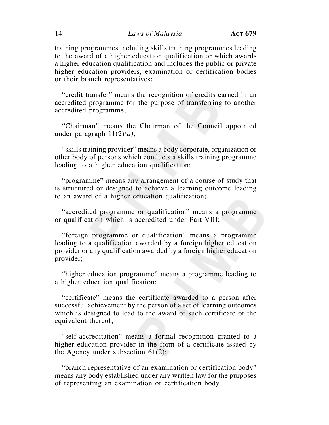## 14 *Laws of Malaysia* **ACT 679**

training programmes including skills training programmes leading to the award of a higher education qualification or which awards a higher education qualification and includes the public or private higher education providers, examination or certification bodies or their branch representatives;

"credit transfer" means the recognition of credits earned in an accredited programme for the purpose of transferring to another accredited programme;

"Chairman" means the Chairman of the Council appointed under paragraph 11(2)*(a)*;

"skills training provider" means a body corporate, organization or other body of persons which conducts a skills training programme leading to a higher education qualification;

"programme" means any arrangement of a course of study that is structured or designed to achieve a learning outcome leading to an award of a higher education qualification;

"accredited programme or qualification" means a programme or qualification which is accredited under Part VIII;

"foreign programme or qualification" means a programme leading to a qualification awarded by a foreign higher education provider or any qualification awarded by a foreign higher education provider;

"higher education programme" means a programme leading to a higher education qualification;

"certificate" means the certificate awarded to a person after successful achievement by the person of a set of learning outcomes which is designed to lead to the award of such certificate or the equivalent thereof;

"self-accreditation" means a formal recognition granted to a higher education provider in the form of a certificate issued by the Agency under subsection 61(2);

"branch representative of an examination or certification body" means any body established under any written law for the purposes of representing an examination or certification body.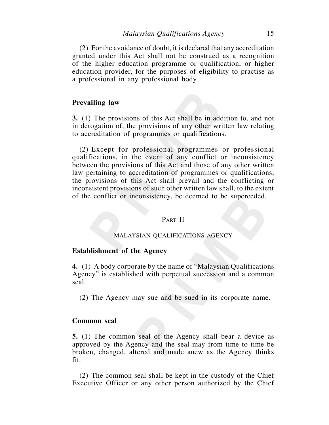(2) For the avoidance of doubt, it is declared that any accreditation granted under this Act shall not be construed as a recognition of the higher education programme or qualification, or higher education provider, for the purposes of eligibility to practise as a professional in any professional body.

## **Prevailing law**

**3.** (1) The provisions of this Act shall be in addition to, and not in derogation of, the provisions of any other written law relating to accreditation of programmes or qualifications.

(2) Except for professional programmes or professional qualifications, in the event of any conflict or inconsistency between the provisions of this Act and those of any other written law pertaining to accreditation of programmes or qualifications, the provisions of this Act shall prevail and the conflicting or inconsistent provisions of such other written law shall, to the extent of the conflict or inconsistency, be deemed to be superceded.

## PART II

#### MALAYSIAN QUALIFICATIONS AGENCY

## **Establishment of the Agency**

**4.** (1) A body corporate by the name of "Malaysian Qualifications Agency" is established with perpetual succession and a common seal.

(2) The Agency may sue and be sued in its corporate name.

## **Common seal**

**5.** (1) The common seal of the Agency shall bear a device as approved by the Agency and the seal may from time to time be broken, changed, altered and made anew as the Agency thinks fit.

(2) The common seal shall be kept in the custody of the Chief Executive Officer or any other person authorized by the Chief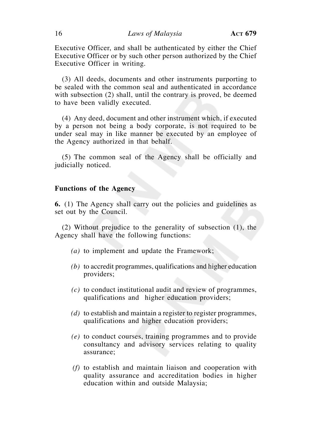Executive Officer, and shall be authenticated by either the Chief Executive Officer or by such other person authorized by the Chief Executive Officer in writing.

(3) All deeds, documents and other instruments purporting to be sealed with the common seal and authenticated in accordance with subsection (2) shall, until the contrary is proved, be deemed to have been validly executed.

(4) Any deed, document and other instrument which, if executed by a person not being a body corporate, is not required to be under seal may in like manner be executed by an employee of the Agency authorized in that behalf.

(5) The common seal of the Agency shall be officially and judicially noticed.

## **Functions of the Agency**

**6.** (1) The Agency shall carry out the policies and guidelines as set out by the Council.

(2) Without prejudice to the generality of subsection (1), the Agency shall have the following functions:

- *(a)* to implement and update the Framework;
- *(b)* to accredit programmes, qualifications and higher education providers;
- *(c)* to conduct institutional audit and review of programmes, qualifications and higher education providers;
- *(d)* to establish and maintain a register to register programmes, qualifications and higher education providers;
- *(e)* to conduct courses, training programmes and to provide consultancy and advisory services relating to quality assurance;
- *(f)* to establish and maintain liaison and cooperation with quality assurance and accreditation bodies in higher education within and outside Malaysia;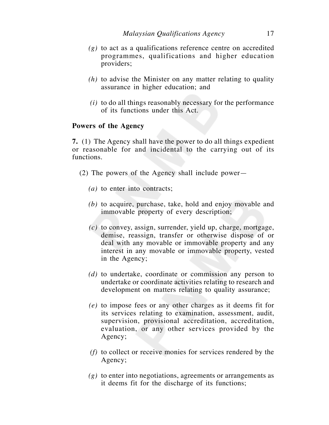- *(g)* to act as a qualifications reference centre on accredited programmes, qualifications and higher education providers;
- *(h)* to advise the Minister on any matter relating to quality assurance in higher education; and
- *(i)* to do all things reasonably necessary for the performance of its functions under this Act.

## **Powers of the Agency**

**7.** (1) The Agency shall have the power to do all things expedient or reasonable for and incidental to the carrying out of its functions.

- (2) The powers of the Agency shall include power—
	- *(a)* to enter into contracts;
	- *(b)* to acquire, purchase, take, hold and enjoy movable and immovable property of every description;
	- *(c)* to convey, assign, surrender, yield up, charge, mortgage, demise, reassign, transfer or otherwise dispose of or deal with any movable or immovable property and any interest in any movable or immovable property, vested in the Agency;
	- *(d)* to undertake, coordinate or commission any person to undertake or coordinate activities relating to research and development on matters relating to quality assurance;
	- *(e)* to impose fees or any other charges as it deems fit for its services relating to examination, assessment, audit, supervision, provisional accreditation, accreditation, evaluation, or any other services provided by the Agency;
	- *(f)* to collect or receive monies for services rendered by the Agency;
	- *(g)* to enter into negotiations, agreements or arrangements as it deems fit for the discharge of its functions;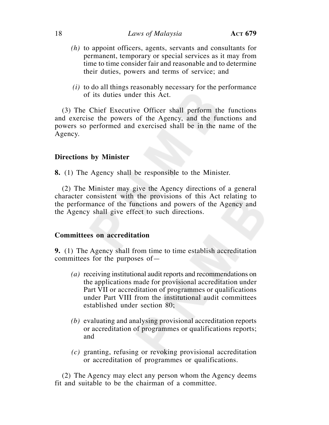## 18 *Laws of Malaysia* **ACT 679**

- *(h)* to appoint officers, agents, servants and consultants for permanent, temporary or special services as it may from time to time consider fair and reasonable and to determine their duties, powers and terms of service; and
- *(i)* to do all things reasonably necessary for the performance of its duties under this Act.

(3) The Chief Executive Officer shall perform the functions and exercise the powers of the Agency, and the functions and powers so performed and exercised shall be in the name of the Agency.

## **Directions by Minister**

**8.** (1) The Agency shall be responsible to the Minister.

(2) The Minister may give the Agency directions of a general character consistent with the provisions of this Act relating to the performance of the functions and powers of the Agency and the Agency shall give effect to such directions.

## **Committees on accreditation**

**9.** (1) The Agency shall from time to time establish accreditation committees for the purposes of—

- *(a)* receiving institutional audit reports and recommendations on the applications made for provisional accreditation under Part VII or accreditation of programmes or qualifications under Part VIII from the institutional audit committees established under section 80;
- *(b)* evaluating and analysing provisional accreditation reports or accreditation of programmes or qualifications reports; and
- *(c)* granting, refusing or revoking provisional accreditation or accreditation of programmes or qualifications.

(2) The Agency may elect any person whom the Agency deems fit and suitable to be the chairman of a committee.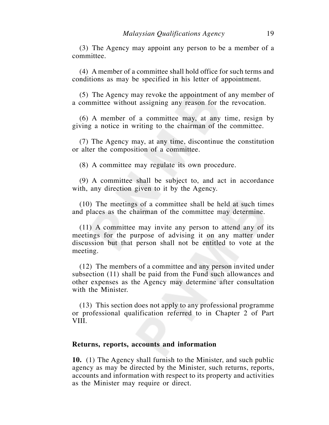(3) The Agency may appoint any person to be a member of a committee.

(4) A member of a committee shall hold office for such terms and conditions as may be specified in his letter of appointment.

(5) The Agency may revoke the appointment of any member of a committee without assigning any reason for the revocation.

(6) A member of a committee may, at any time, resign by giving a notice in writing to the chairman of the committee.

(7) The Agency may, at any time, discontinue the constitution or alter the composition of a committee.

(8) A committee may regulate its own procedure.

(9) A committee shall be subject to, and act in accordance with, any direction given to it by the Agency.

(10) The meetings of a committee shall be held at such times and places as the chairman of the committee may determine.

(11) A committee may invite any person to attend any of its meetings for the purpose of advising it on any matter under discussion but that person shall not be entitled to vote at the meeting.

(12) The members of a committee and any person invited under subsection (11) shall be paid from the Fund such allowances and other expenses as the Agency may determine after consultation with the Minister.

(13) This section does not apply to any professional programme or professional qualification referred to in Chapter 2 of Part VIII.

## **Returns, reports, accounts and information**

**10.** (1) The Agency shall furnish to the Minister, and such public agency as may be directed by the Minister, such returns, reports, accounts and information with respect to its property and activities as the Minister may require or direct.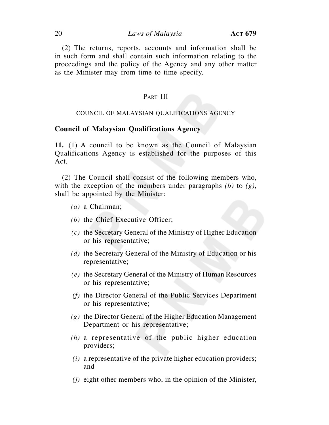## 20 *Laws of Malaysia* **ACT 679**

(2) The returns, reports, accounts and information shall be in such form and shall contain such information relating to the proceedings and the policy of the Agency and any other matter as the Minister may from time to time specify.

## PART III

#### COUNCIL OF MALAYSIAN QUALIFICATIONS AGENCY

## **Council of Malaysian Qualifications Agency**

**11.** (1) A council to be known as the Council of Malaysian Qualifications Agency is established for the purposes of this Act.

(2) The Council shall consist of the following members who, with the exception of the members under paragraphs *(b)* to *(g)*, shall be appointed by the Minister:

- *(a)* a Chairman;
- *(b)* the Chief Executive Officer;
- *(c)* the Secretary General of the Ministry of Higher Education or his representative;
- *(d)* the Secretary General of the Ministry of Education or his representative;
- *(e)* the Secretary General of the Ministry of Human Resources or his representative;
- *(f)* the Director General of the Public Services Department or his representative;
- *(g)* the Director General of the Higher Education Management Department or his representative;
- *(h)* a representative of the public higher education providers;
- *(i)* a representative of the private higher education providers; and
- *(j)* eight other members who, in the opinion of the Minister,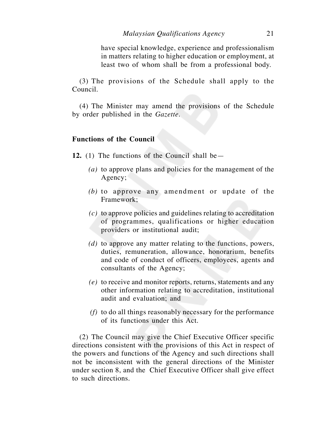have special knowledge, experience and professionalism in matters relating to higher education or employment, at least two of whom shall be from a professional body.

(3) The provisions of the Schedule shall apply to the Council.

(4) The Minister may amend the provisions of the Schedule by order published in the *Gazette*.

## **Functions of the Council**

**12.** (1) The functions of the Council shall be—

- *(a)* to approve plans and policies for the management of the Agency;
- *(b)* to approve any amendment or update of the Framework;
- *(c)* to approve policies and guidelines relating to accreditation of programmes, qualifications or higher education providers or institutional audit;
- *(d)* to approve any matter relating to the functions, powers, duties, remuneration, allowance, honorarium, benefits and code of conduct of officers, employees, agents and consultants of the Agency;
- *(e)* to receive and monitor reports, returns, statements and any other information relating to accreditation, institutional audit and evaluation; and
- *(f)* to do all things reasonably necessary for the performance of its functions under this Act.

(2) The Council may give the Chief Executive Officer specific directions consistent with the provisions of this Act in respect of the powers and functions of the Agency and such directions shall not be inconsistent with the general directions of the Minister under section 8, and the Chief Executive Officer shall give effect to such directions.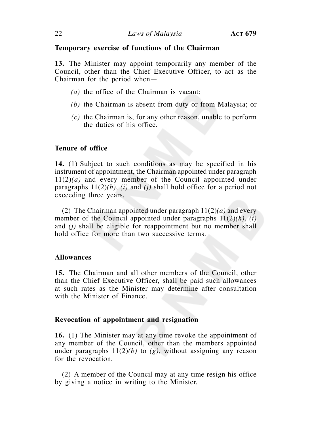## **Temporary exercise of functions of the Chairman**

**13.** The Minister may appoint temporarily any member of the Council, other than the Chief Executive Officer, to act as the Chairman for the period when—

- *(a)* the office of the Chairman is vacant;
- *(b)* the Chairman is absent from duty or from Malaysia; or
- *(c)* the Chairman is, for any other reason, unable to perform the duties of his office.

## **Tenure of office**

**14.** (1) Subject to such conditions as may be specified in his instrument of appointment, the Chairman appointed under paragraph 11(2)*(a)* and every member of the Council appointed under paragraphs  $11(2)(h)$ , *(i)* and *(j)* shall hold office for a period not exceeding three years.

(2) The Chairman appointed under paragraph 11(2)*(a)* and every member of the Council appointed under paragraphs 11(2)*(h)*, *(i)* and *(j)* shall be eligible for reappointment but no member shall hold office for more than two successive terms.

## **Allowances**

**15.** The Chairman and all other members of the Council, other than the Chief Executive Officer, shall be paid such allowances at such rates as the Minister may determine after consultation with the Minister of Finance.

## **Revocation of appointment and resignation**

**16.** (1) The Minister may at any time revoke the appointment of any member of the Council, other than the members appointed under paragraphs 11(2)*(b)* to *(g)*, without assigning any reason for the revocation.

(2) A member of the Council may at any time resign his office by giving a notice in writing to the Minister.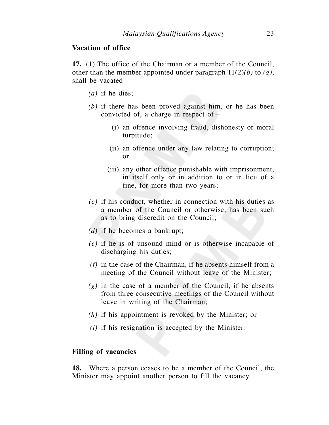## **Vacation of office**

**17.** (1) The office of the Chairman or a member of the Council, other than the member appointed under paragraph 11(2)*(b)* to *(g)*, shall be vacated—

- *(a)* if he dies;
- *(b)* if there has been proved against him, or he has been convicted of, a charge in respect of—
	- (i) an offence involving fraud, dishonesty or moral turpitude;
	- (ii) an offence under any law relating to corruption; or
	- (iii) any other offence punishable with imprisonment, in itself only or in addition to or in lieu of a fine, for more than two years;
- *(c)* if his conduct, whether in connection with his duties as a member of the Council or otherwise, has been such as to bring discredit on the Council;
- *(d)* if he becomes a bankrupt;
- *(e)* if he is of unsound mind or is otherwise incapable of discharging his duties;
- *(f)* in the case of the Chairman, if he absents himself from a meeting of the Council without leave of the Minister;
- *(g)* in the case of a member of the Council, if he absents from three consecutive meetings of the Council without leave in writing of the Chairman;
- *(h)* if his appointment is revoked by the Minister; or
- *(i)* if his resignation is accepted by the Minister.

## **Filling of vacancies**

**18.** Where a person ceases to be a member of the Council, the Minister may appoint another person to fill the vacancy.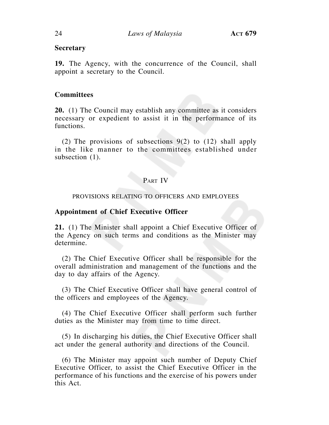## **Secretary**

**19.** The Agency, with the concurrence of the Council, shall appoint a secretary to the Council.

## **Committees**

**20.** (1) The Council may establish any committee as it considers necessary or expedient to assist it in the performance of its functions.

(2) The provisions of subsections 9(2) to (12) shall apply in the like manner to the committees established under subsection  $(1)$ .

## PART IV

## PROVISIONS RELATING TO OFFICERS AND EMPLOYEES

## **Appointment of Chief Executive Officer**

**21.** (1) The Minister shall appoint a Chief Executive Officer of the Agency on such terms and conditions as the Minister may determine.

(2) The Chief Executive Officer shall be responsible for the overall administration and management of the functions and the day to day affairs of the Agency.

(3) The Chief Executive Officer shall have general control of the officers and employees of the Agency.

(4) The Chief Executive Officer shall perform such further duties as the Minister may from time to time direct.

(5) In discharging his duties, the Chief Executive Officer shall act under the general authority and directions of the Council.

(6) The Minister may appoint such number of Deputy Chief Executive Officer, to assist the Chief Executive Officer in the performance of his functions and the exercise of his powers under this Act.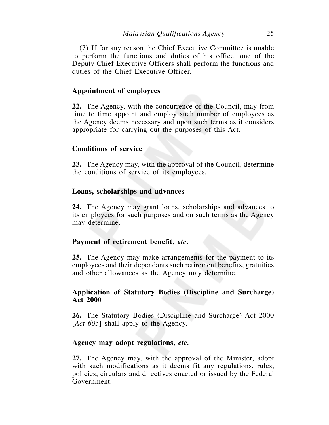(7) If for any reason the Chief Executive Committee is unable to perform the functions and duties of his office, one of the Deputy Chief Executive Officers shall perform the functions and duties of the Chief Executive Officer.

## **Appointment of employees**

**22.** The Agency, with the concurrence of the Council, may from time to time appoint and employ such number of employees as the Agency deems necessary and upon such terms as it considers appropriate for carrying out the purposes of this Act.

## **Conditions of service**

**23.** The Agency may, with the approval of the Council, determine the conditions of service of its employees.

## **Loans, scholarships and advances**

**24.** The Agency may grant loans, scholarships and advances to its employees for such purposes and on such terms as the Agency may determine.

## **Payment of retirement benefit,** *etc***.**

**25.** The Agency may make arrangements for the payment to its employees and their dependants such retirement benefits, gratuities and other allowances as the Agency may determine.

## **Application of Statutory Bodies (Discipline and Surcharge) Act 2000**

**26.** The Statutory Bodies (Discipline and Surcharge) Act 2000 [*Act 605*] shall apply to the Agency.

## **Agency may adopt regulations,** *etc.*

**27.** The Agency may, with the approval of the Minister, adopt with such modifications as it deems fit any regulations, rules, policies, circulars and directives enacted or issued by the Federal Government.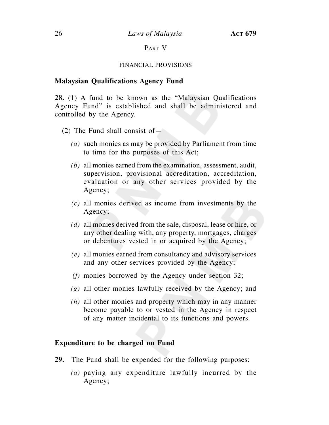## PART V

## FINANCIAL PROVISIONS

## **Malaysian Qualifications Agency Fund**

**28.** (1) A fund to be known as the "Malaysian Qualifications Agency Fund" is established and shall be administered and controlled by the Agency.

- (2) The Fund shall consist of—
	- *(a)* such monies as may be provided by Parliament from time to time for the purposes of this Act;
	- *(b)* all monies earned from the examination, assessment, audit, supervision, provisional accreditation, accreditation, evaluation or any other services provided by the Agency;
	- *(c)* all monies derived as income from investments by the Agency;
	- *(d)* all monies derived from the sale, disposal, lease or hire, or any other dealing with, any property, mortgages, charges or debentures vested in or acquired by the Agency;
	- *(e)* all monies earned from consultancy and advisory services and any other services provided by the Agency;
	- *(f)* monies borrowed by the Agency under section 32;
	- *(g)* all other monies lawfully received by the Agency; and
	- *(h)* all other monies and property which may in any manner become payable to or vested in the Agency in respect of any matter incidental to its functions and powers.

## **Expenditure to be charged on Fund**

- **29.** The Fund shall be expended for the following purposes:
	- *(a)* paying any expenditure lawfully incurred by the Agency;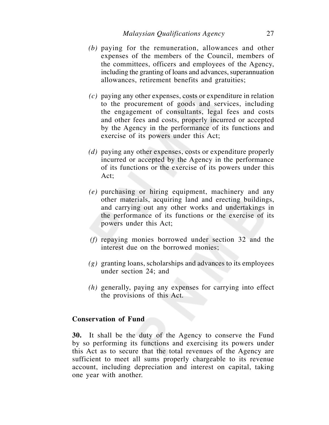- *(b)* paying for the remuneration, allowances and other expenses of the members of the Council, members of the committees, officers and employees of the Agency, including the granting of loans and advances, superannuation allowances, retirement benefits and gratuities;
- *(c)* paying any other expenses, costs or expenditure in relation to the procurement of goods and services, including the engagement of consultants, legal fees and costs and other fees and costs, properly incurred or accepted by the Agency in the performance of its functions and exercise of its powers under this Act;
- *(d)* paying any other expenses, costs or expenditure properly incurred or accepted by the Agency in the performance of its functions or the exercise of its powers under this Act;
- *(e)* purchasing or hiring equipment, machinery and any other materials, acquiring land and erecting buildings, and carrying out any other works and undertakings in the performance of its functions or the exercise of its powers under this Act;
- *(f)* repaying monies borrowed under section 32 and the interest due on the borrowed monies;
- *(g)* granting loans, scholarships and advances to its employees under section 24; and
- *(h)* generally, paying any expenses for carrying into effect the provisions of this Act.

## **Conservation of Fund**

**30.** It shall be the duty of the Agency to conserve the Fund by so performing its functions and exercising its powers under this Act as to secure that the total revenues of the Agency are sufficient to meet all sums properly chargeable to its revenue account, including depreciation and interest on capital, taking one year with another.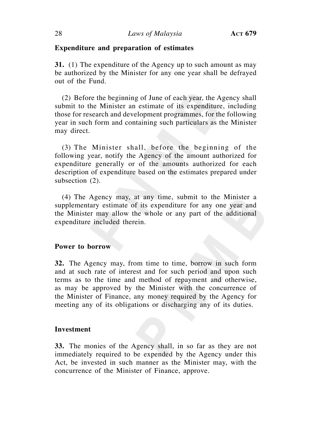## **Expenditure and preparation of estimates**

**31.** (1) The expenditure of the Agency up to such amount as may be authorized by the Minister for any one year shall be defrayed out of the Fund.

(2) Before the beginning of June of each year, the Agency shall submit to the Minister an estimate of its expenditure, including those for research and development programmes, for the following year in such form and containing such particulars as the Minister may direct.

(3) The Minister shall, before the beginning of the following year, notify the Agency of the amount authorized for expenditure generally or of the amounts authorized for each description of expenditure based on the estimates prepared under subsection (2).

(4) The Agency may, at any time, submit to the Minister a supplementary estimate of its expenditure for any one year and the Minister may allow the whole or any part of the additional expenditure included therein.

## **Power to borrow**

**32.** The Agency may, from time to time, borrow in such form and at such rate of interest and for such period and upon such terms as to the time and method of repayment and otherwise, as may be approved by the Minister with the concurrence of the Minister of Finance, any money required by the Agency for meeting any of its obligations or discharging any of its duties.

## **Investment**

**33.** The monies of the Agency shall, in so far as they are not immediately required to be expended by the Agency under this Act, be invested in such manner as the Minister may, with the concurrence of the Minister of Finance, approve.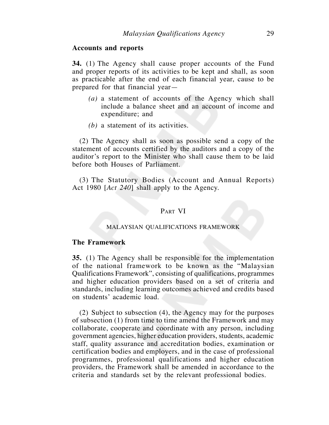## **Accounts and reports**

**34.** (1) The Agency shall cause proper accounts of the Fund and proper reports of its activities to be kept and shall, as soon as practicable after the end of each financial year, cause to be prepared for that financial year—

- *(a)* a statement of accounts of the Agency which shall include a balance sheet and an account of income and expenditure; and
- *(b)* a statement of its activities.

(2) The Agency shall as soon as possible send a copy of the statement of accounts certified by the auditors and a copy of the auditor's report to the Minister who shall cause them to be laid before both Houses of Parliament.

(3) The Statutory Bodies (Account and Annual Reports) Act 1980 [*Act 240*] shall apply to the Agency.

## PART VI

## MALAYSIAN QUALIFICATIONS FRAMEWORK

## **The Framework**

**35.** (1) The Agency shall be responsible for the implementation of the national framework to be known as the "Malaysian Qualifications Framework", consisting of qualifications, programmes and higher education providers based on a set of criteria and standards, including learning outcomes achieved and credits based on students' academic load.

(2) Subject to subsection (4), the Agency may for the purposes of subsection (1) from time to time amend the Framework and may collaborate, cooperate and coordinate with any person, including government agencies, higher education providers, students, academic staff, quality assurance and accreditation bodies, examination or certification bodies and employers, and in the case of professional programmes, professional qualifications and higher education providers, the Framework shall be amended in accordance to the criteria and standards set by the relevant professional bodies.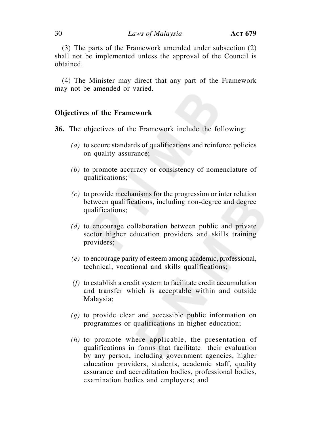(3) The parts of the Framework amended under subsection (2) shall not be implemented unless the approval of the Council is obtained.

(4) The Minister may direct that any part of the Framework may not be amended or varied.

## **Objectives of the Framework**

**36.** The objectives of the Framework include the following:

- *(a)* to secure standards of qualifications and reinforce policies on quality assurance;
- *(b)* to promote accuracy or consistency of nomenclature of qualifications;
- *(c)* to provide mechanisms for the progression or inter relation between qualifications, including non-degree and degree qualifications;
- *(d)* to encourage collaboration between public and private sector higher education providers and skills training providers;
- *(e)* to encourage parity of esteem among academic, professional, technical, vocational and skills qualifications;
- *(f)* to establish a credit system to facilitate credit accumulation and transfer which is acceptable within and outside Malaysia;
- *(g)* to provide clear and accessible public information on programmes or qualifications in higher education;
- *(h)* to promote where applicable, the presentation of qualifications in forms that facilitate their evaluation by any person, including government agencies, higher education providers, students, academic staff, quality assurance and accreditation bodies, professional bodies, examination bodies and employers; and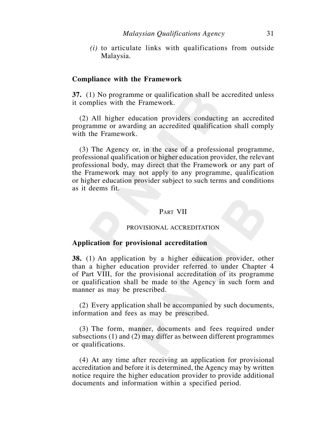*(i)* to articulate links with qualifications from outside Malaysia.

## **Compliance with the Framework**

**37.** (1) No programme or qualification shall be accredited unless it complies with the Framework.

(2) All higher education providers conducting an accredited programme or awarding an accredited qualification shall comply with the Framework.

(3) The Agency or, in the case of a professional programme, professional qualification or higher education provider, the relevant professional body, may direct that the Framework or any part of the Framework may not apply to any programme, qualification or higher education provider subject to such terms and conditions as it deems fit.

## PART VII

## PROVISIONAL ACCREDITATION

## **Application for provisional accreditation**

**38.** (1) An application by a higher education provider, other than a higher education provider referred to under Chapter 4 of Part VIII, for the provisional accreditation of its programme or qualification shall be made to the Agency in such form and manner as may be prescribed.

(2) Every application shall be accompanied by such documents, information and fees as may be prescribed.

(3) The form, manner, documents and fees required under subsections (1) and (2) may differ as between different programmes or qualifications.

(4) At any time after receiving an application for provisional accreditation and before it is determined, the Agency may by written notice require the higher education provider to provide additional documents and information within a specified period.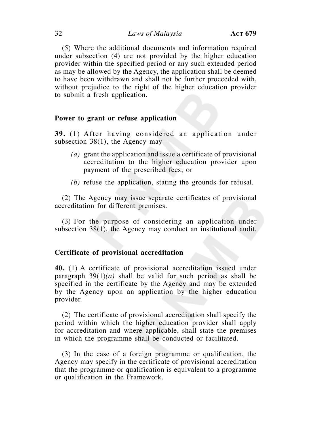(5) Where the additional documents and information required under subsection (4) are not provided by the higher education provider within the specified period or any such extended period as may be allowed by the Agency, the application shall be deemed to have been withdrawn and shall not be further proceeded with, without prejudice to the right of the higher education provider to submit a fresh application.

## **Power to grant or refuse application**

**39.** (1) After having considered an application under subsection 38(1), the Agency may—

- *(a)* grant the application and issue a certificate of provisional accreditation to the higher education provider upon payment of the prescribed fees; or
- *(b)* refuse the application, stating the grounds for refusal.

(2) The Agency may issue separate certificates of provisional accreditation for different premises.

(3) For the purpose of considering an application under subsection 38(1), the Agency may conduct an institutional audit.

## **Certificate of provisional accreditation**

**40.** (1) A certificate of provisional accreditation issued under paragraph 39(1)*(a)* shall be valid for such period as shall be specified in the certificate by the Agency and may be extended by the Agency upon an application by the higher education provider.

(2) The certificate of provisional accreditation shall specify the period within which the higher education provider shall apply for accreditation and where applicable, shall state the premises in which the programme shall be conducted or facilitated.

(3) In the case of a foreign programme or qualification, the Agency may specify in the certificate of provisional accreditation that the programme or qualification is equivalent to a programme or qualification in the Framework.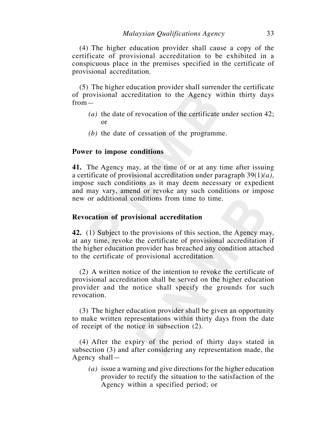(4) The higher education provider shall cause a copy of the certificate of provisional accreditation to be exhibited in a conspicuous place in the premises specified in the certificate of provisional accreditation.

(5) The higher education provider shall surrender the certificate of provisional accreditation to the Agency within thirty days from—

- *(a)* the date of revocation of the certificate under section 42; or
- *(b)* the date of cessation of the programme.

## **Power to impose conditions**

**41.** The Agency may, at the time of or at any time after issuing a certificate of provisional accreditation under paragraph 39(1)*(a)*, impose such conditions as it may deem necessary or expedient and may vary, amend or revoke any such conditions or impose new or additional conditions from time to time.

## **Revocation of provisional accreditation**

**42.** (1) Subject to the provisions of this section, the Agency may, at any time, revoke the certificate of provisional accreditation if the higher education provider has breached any condition attached to the certificate of provisional accreditation.

(2) A written notice of the intention to revoke the certificate of provisional accreditation shall be served on the higher education provider and the notice shall specify the grounds for such revocation.

(3) The higher education provider shall be given an opportunity to make written representations within thirty days from the date of receipt of the notice in subsection (2).

(4) After the expiry of the period of thirty days stated in subsection (3) and after considering any representation made, the Agency shall—

*(a)* issue a warning and give directions for the higher education provider to rectify the situation to the satisfaction of the Agency within a specified period; or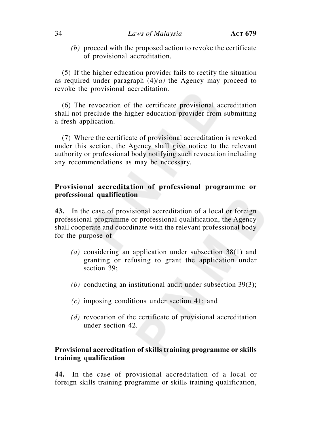## 34 *Laws of Malaysia* **ACT 679**

*(b)* proceed with the proposed action to revoke the certificate of provisional accreditation.

(5) If the higher education provider fails to rectify the situation as required under paragraph (4)*(a)* the Agency may proceed to revoke the provisional accreditation.

(6) The revocation of the certificate provisional accreditation shall not preclude the higher education provider from submitting a fresh application.

(7) Where the certificate of provisional accreditation is revoked under this section, the Agency shall give notice to the relevant authority or professional body notifying such revocation including any recommendations as may be necessary.

## **Provisional accreditation of professional programme or professional qualification**

**43.** In the case of provisional accreditation of a local or foreign professional programme or professional qualification, the Agency shall cooperate and coordinate with the relevant professional body for the purpose of—

- *(a)* considering an application under subsection 38(1) and granting or refusing to grant the application under section 39;
- *(b)* conducting an institutional audit under subsection 39(3);
- *(c)* imposing conditions under section 41; and
- *(d)* revocation of the certificate of provisional accreditation under section 42.

## **Provisional accreditation of skills training programme or skills training qualification**

**44.** In the case of provisional accreditation of a local or foreign skills training programme or skills training qualification,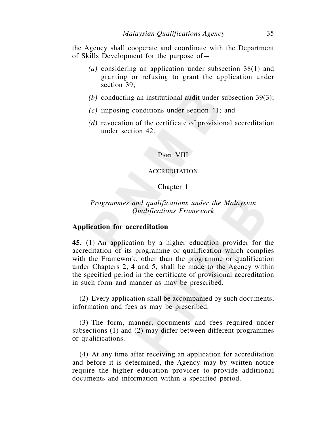the Agency shall cooperate and coordinate with the Department of Skills Development for the purpose of—

- *(a)* considering an application under subsection 38(1) and granting or refusing to grant the application under section 39;
- *(b)* conducting an institutional audit under subsection 39(3);
- *(c)* imposing conditions under section 41; and
- *(d)* revocation of the certificate of provisional accreditation under section 42.

## PART VIII

## ACCREDITATION

## Chapter 1

## *Programmes and qualifications under the Malaysian Qualifications Framework*

## **Application for accreditation**

**45.** (1) An application by a higher education provider for the accreditation of its programme or qualification which complies with the Framework, other than the programme or qualification under Chapters 2, 4 and 5, shall be made to the Agency within the specified period in the certificate of provisional accreditation in such form and manner as may be prescribed.

(2) Every application shall be accompanied by such documents, information and fees as may be prescribed.

(3) The form, manner, documents and fees required under subsections (1) and (2) may differ between different programmes or qualifications.

(4) At any time after receiving an application for accreditation and before it is determined, the Agency may by written notice require the higher education provider to provide additional documents and information within a specified period.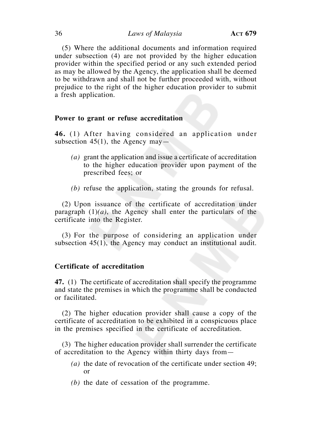(5) Where the additional documents and information required under subsection (4) are not provided by the higher education provider within the specified period or any such extended period as may be allowed by the Agency, the application shall be deemed to be withdrawn and shall not be further proceeded with, without prejudice to the right of the higher education provider to submit a fresh application.

## **Power to grant or refuse accreditation**

**46.** (1) After having considered an application under subsection 45(1), the Agency may—

- *(a)* grant the application and issue a certificate of accreditation to the higher education provider upon payment of the prescribed fees; or
- *(b)* refuse the application, stating the grounds for refusal.

(2) Upon issuance of the certificate of accreditation under paragraph (1)*(a)*, the Agency shall enter the particulars of the certificate into the Register.

(3) For the purpose of considering an application under subsection 45(1), the Agency may conduct an institutional audit.

## **Certificate of accreditation**

**47.** (1) The certificate of accreditation shall specify the programme and state the premises in which the programme shall be conducted or facilitated.

(2) The higher education provider shall cause a copy of the certificate of accreditation to be exhibited in a conspicuous place in the premises specified in the certificate of accreditation.

(3) The higher education provider shall surrender the certificate of accreditation to the Agency within thirty days from—

- *(a)* the date of revocation of the certificate under section 49; or
- *(b)* the date of cessation of the programme.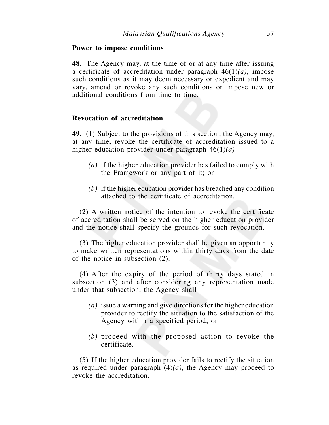#### **Power to impose conditions**

**48.** The Agency may, at the time of or at any time after issuing a certificate of accreditation under paragraph 46(1)*(a)*, impose such conditions as it may deem necessary or expedient and may vary, amend or revoke any such conditions or impose new or additional conditions from time to time.

## **Revocation of accreditation**

**49.** (1) Subject to the provisions of this section, the Agency may, at any time, revoke the certificate of accreditation issued to a higher education provider under paragraph 46(1)*(a)*—

- *(a)* if the higher education provider has failed to comply with the Framework or any part of it; or
- *(b)* if the higher education provider has breached any condition attached to the certificate of accreditation.

(2) A written notice of the intention to revoke the certificate of accreditation shall be served on the higher education provider and the notice shall specify the grounds for such revocation.

(3) The higher education provider shall be given an opportunity to make written representations within thirty days from the date of the notice in subsection (2).

(4) After the expiry of the period of thirty days stated in subsection (3) and after considering any representation made under that subsection, the Agency shall—

- *(a)* issue a warning and give directions for the higher education provider to rectify the situation to the satisfaction of the Agency within a specified period; or
- *(b)* proceed with the proposed action to revoke the certificate.

(5) If the higher education provider fails to rectify the situation as required under paragraph  $(4)(a)$ , the Agency may proceed to revoke the accreditation.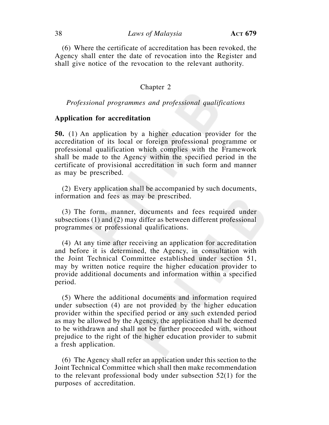(6) Where the certificate of accreditation has been revoked, the Agency shall enter the date of revocation into the Register and shall give notice of the revocation to the relevant authority.

#### Chapter 2

#### *Professional programmes and professional qualifications*

## **Application for accreditation**

**50.** (1) An application by a higher education provider for the accreditation of its local or foreign professional programme or professional qualification which complies with the Framework shall be made to the Agency within the specified period in the certificate of provisional accreditation in such form and manner as may be prescribed.

(2) Every application shall be accompanied by such documents, information and fees as may be prescribed.

(3) The form, manner, documents and fees required under subsections (1) and (2) may differ as between different professional programmes or professional qualifications.

(4) At any time after receiving an application for accreditation and before it is determined, the Agency, in consultation with the Joint Technical Committee established under section 51, may by written notice require the higher education provider to provide additional documents and information within a specified period.

(5) Where the additional documents and information required under subsection (4) are not provided by the higher education provider within the specified period or any such extended period as may be allowed by the Agency, the application shall be deemed to be withdrawn and shall not be further proceeded with, without prejudice to the right of the higher education provider to submit a fresh application.

(6) The Agency shall refer an application under this section to the Joint Technical Committee which shall then make recommendation to the relevant professional body under subsection 52(1) for the purposes of accreditation.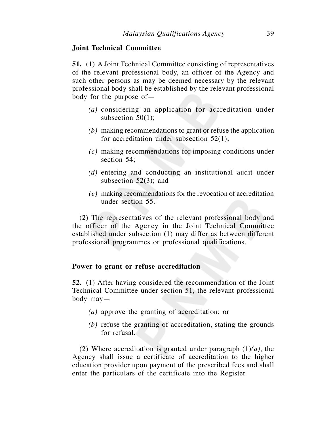### **Joint Technical Committee**

**51.** (1) A Joint Technical Committee consisting of representatives of the relevant professional body, an officer of the Agency and such other persons as may be deemed necessary by the relevant professional body shall be established by the relevant professional body for the purpose of—

- *(a)* considering an application for accreditation under subsection  $50(1)$ ;
- *(b)* making recommendations to grant or refuse the application for accreditation under subsection 52(1);
- *(c)* making recommendations for imposing conditions under section 54;
- *(d)* entering and conducting an institutional audit under subsection 52(3); and
- *(e)* making recommendations for the revocation of accreditation under section 55.

(2) The representatives of the relevant professional body and the officer of the Agency in the Joint Technical Committee established under subsection (1) may differ as between different professional programmes or professional qualifications.

## **Power to grant or refuse accreditation**

**52.** (1) After having considered the recommendation of the Joint Technical Committee under section 51, the relevant professional body may—

- *(a)* approve the granting of accreditation; or
- *(b)* refuse the granting of accreditation, stating the grounds for refusal.

(2) Where accreditation is granted under paragraph (1)*(a)*, the Agency shall issue a certificate of accreditation to the higher education provider upon payment of the prescribed fees and shall enter the particulars of the certificate into the Register.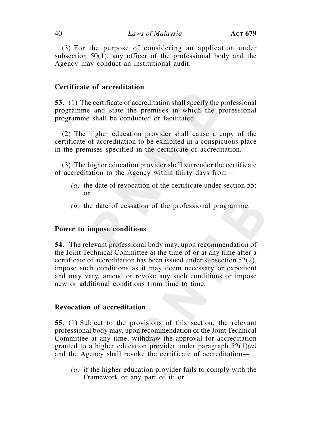(3) For the purpose of considering an application under subsection 50(1), any officer of the professional body and the Agency may conduct an institutional audit.

## **Certificate of accreditation**

**53.** (1) The certificate of accreditation shall specify the professional programme and state the premises in which the professional programme shall be conducted or facilitated.

(2) The higher education provider shall cause a copy of the certificate of accreditation to be exhibited in a conspicuous place in the premises specified in the certificate of accreditation.

(3) The higher education provider shall surrender the certificate of accreditation to the Agency within thirty days from—

- *(a)* the date of revocation of the certificate under section 55; or
- *(b)* the date of cessation of the professional programme.

## **Power to impose conditions**

**54.** The relevant professional body may, upon recommendation of the Joint Technical Committee at the time of or at any time after a certificate of accreditation has been issued under subsection 52(2), impose such conditions as it may deem necessary or expedient and may vary, amend or revoke any such conditions or impose new or additional conditions from time to time.

## **Revocation of accreditation**

**55.** (1) Subject to the provisions of this section, the relevant professional body may, upon recommendation of the Joint Technical Committee at any time, withdraw the approval for accreditation granted to a higher education provider under paragraph 52(1)*(a)*  and the Agency shall revoke the certificate of accreditation—

*(a)* if the higher education provider fails to comply with the Framework or any part of it; or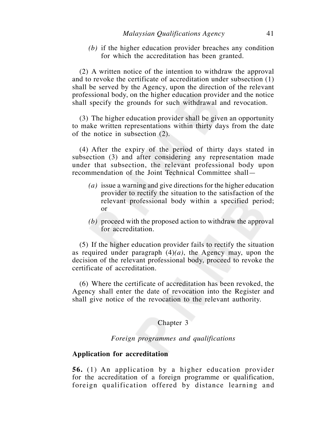*(b)* if the higher education provider breaches any condition for which the accreditation has been granted.

(2) A written notice of the intention to withdraw the approval and to revoke the certificate of accreditation under subsection (1) shall be served by the Agency, upon the direction of the relevant professional body, on the higher education provider and the notice shall specify the grounds for such withdrawal and revocation.

(3) The higher education provider shall be given an opportunity to make written representations within thirty days from the date of the notice in subsection (2).

(4) After the expiry of the period of thirty days stated in subsection (3) and after considering any representation made under that subsection, the relevant professional body upon recommendation of the Joint Technical Committee shall—

- *(a)* issue a warning and give directions for the higher education provider to rectify the situation to the satisfaction of the relevant professional body within a specified period; or
- *(b)* proceed with the proposed action to withdraw the approval for accreditation.

(5) If the higher education provider fails to rectify the situation as required under paragraph (4)*(a)*, the Agency may, upon the decision of the relevant professional body, proceed to revoke the certificate of accreditation.

(6) Where the certificate of accreditation has been revoked, the Agency shall enter the date of revocation into the Register and shall give notice of the revocation to the relevant authority.

## Chapter 3

*Foreign programmes and qualifications*

## **Application for accreditation**

**56.** (1) An application by a higher education provider for the accreditation of a foreign programme or qualification, foreign qualification offered by distance learning and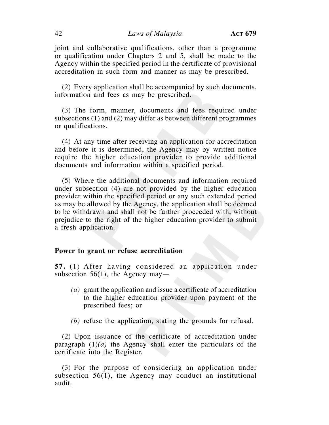joint and collaborative qualifications, other than a programme or qualification under Chapters 2 and 5, shall be made to the Agency within the specified period in the certificate of provisional accreditation in such form and manner as may be prescribed.

(2) Every application shall be accompanied by such documents, information and fees as may be prescribed.

(3) The form, manner, documents and fees required under subsections (1) and (2) may differ as between different programmes or qualifications.

(4) At any time after receiving an application for accreditation and before it is determined, the Agency may by written notice require the higher education provider to provide additional documents and information within a specified period.

(5) Where the additional documents and information required under subsection (4) are not provided by the higher education provider within the specified period or any such extended period as may be allowed by the Agency, the application shall be deemed to be withdrawn and shall not be further proceeded with, without prejudice to the right of the higher education provider to submit a fresh application.

#### **Power to grant or refuse accreditation**

**57.** (1) After having considered an application under subsection 56(1), the Agency may—

- *(a)* grant the application and issue a certificate of accreditation to the higher education provider upon payment of the prescribed fees; or
- *(b)* refuse the application, stating the grounds for refusal.

(2) Upon issuance of the certificate of accreditation under paragraph (1)*(a)* the Agency shall enter the particulars of the certificate into the Register.

(3) For the purpose of considering an application under subsection 56(1), the Agency may conduct an institutional audit.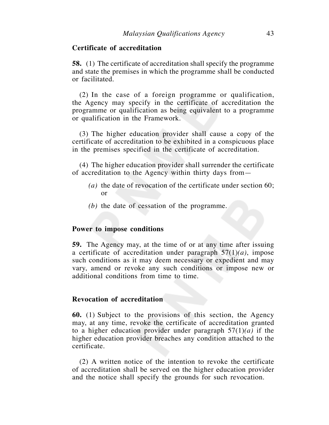## **Certificate of accreditation**

**58.** (1) The certificate of accreditation shall specify the programme and state the premises in which the programme shall be conducted or facilitated.

(2) In the case of a foreign programme or qualification, the Agency may specify in the certificate of accreditation the programme or qualification as being equivalent to a programme or qualification in the Framework.

(3) The higher education provider shall cause a copy of the certificate of accreditation to be exhibited in a conspicuous place in the premises specified in the certificate of accreditation.

(4) The higher education provider shall surrender the certificate of accreditation to the Agency within thirty days from—

- *(a)* the date of revocation of the certificate under section 60; or
- *(b)* the date of cessation of the programme.

### **Power to impose conditions**

**59.** The Agency may, at the time of or at any time after issuing a certificate of accreditation under paragraph 57(1)*(a)*, impose such conditions as it may deem necessary or expedient and may vary, amend or revoke any such conditions or impose new or additional conditions from time to time.

## **Revocation of accreditation**

**60.** (1) Subject to the provisions of this section, the Agency may, at any time, revoke the certificate of accreditation granted to a higher education provider under paragraph 57(1)*(a)* if the higher education provider breaches any condition attached to the certificate.

(2) A written notice of the intention to revoke the certificate of accreditation shall be served on the higher education provider and the notice shall specify the grounds for such revocation.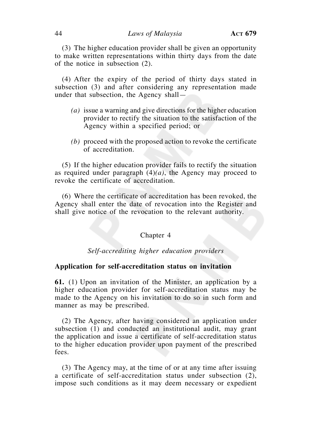(3) The higher education provider shall be given an opportunity to make written representations within thirty days from the date of the notice in subsection (2).

(4) After the expiry of the period of thirty days stated in subsection (3) and after considering any representation made under that subsection, the Agency shall—

- *(a)* issue a warning and give directions for the higher education provider to rectify the situation to the satisfaction of the Agency within a specified period; or
- *(b)* proceed with the proposed action to revoke the certificate of accreditation.

(5) If the higher education provider fails to rectify the situation as required under paragraph  $(4)(a)$ , the Agency may proceed to revoke the certificate of accreditation.

(6) Where the certificate of accreditation has been revoked, the Agency shall enter the date of revocation into the Register and shall give notice of the revocation to the relevant authority.

#### Chapter 4

## *Self-accrediting higher education providers*

### **Application for self-accreditation status on invitation**

**61.** (1) Upon an invitation of the Minister, an application by a higher education provider for self-accreditation status may be made to the Agency on his invitation to do so in such form and manner as may be prescribed.

(2) The Agency, after having considered an application under subsection (1) and conducted an institutional audit, may grant the application and issue a certificate of self-accreditation status to the higher education provider upon payment of the prescribed fees.

(3) The Agency may, at the time of or at any time after issuing a certificate of self-accreditation status under subsection (2), impose such conditions as it may deem necessary or expedient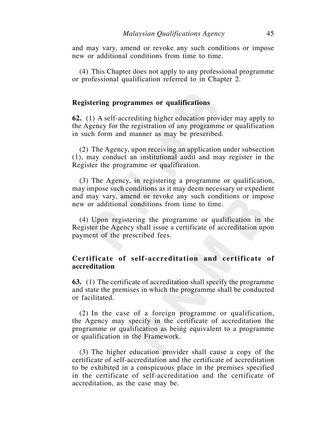and may vary, amend or revoke any such conditions or impose new or additional conditions from time to time.

(4) This Chapter does not apply to any professional programme or professional qualification referred to in Chapter 2.

### **Registering programmes or qualifications**

**62.** (1) A self-accrediting higher education provider may apply to the Agency for the registration of any programme or qualification in such form and manner as may be prescribed.

(2) The Agency, upon receiving an application under subsection (1), may conduct an institutional audit and may register in the Register the programme or qualification.

(3) The Agency, in registering a programme or qualification, may impose such conditions as it may deem necessary or expedient and may vary, amend or revoke any such conditions or impose new or additional conditions from time to time.

(4) Upon registering the programme or qualification in the Register the Agency shall issue a certificate of accreditation upon payment of the prescribed fees.

## **Certificate of self-accreditation and certificate of accreditation**

**63.** (1) The certificate of accreditation shall specify the programme and state the premises in which the programme shall be conducted or facilitated.

(2) In the case of a foreign programme or qualification, the Agency may specify in the certificate of accreditation the programme or qualification as being equivalent to a programme or qualification in the Framework.

(3) The higher education provider shall cause a copy of the certificate of self-accreditation and the certificate of accreditation to be exhibited in a conspicuous place in the premises specified in the certificate of self-accreditation and the certificate of accreditation, as the case may be.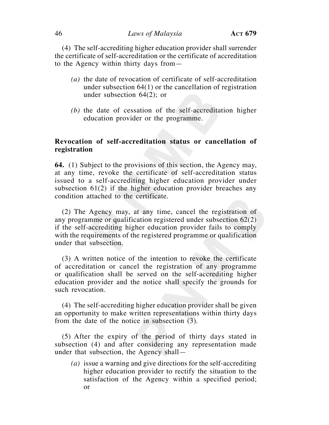(4) The self-accrediting higher education provider shall surrender the certificate of self-accreditation or the certificate of accreditation to the Agency within thirty days from—

- *(a)* the date of revocation of certificate of self-accreditation under subsection 64(1) or the cancellation of registration under subsection 64(2); or
- *(b)* the date of cessation of the self-accreditation higher education provider or the programme.

## **Revocation of self-accreditation status or cancellation of registration**

**64.** (1) Subject to the provisions of this section, the Agency may, at any time, revoke the certificate of self-accreditation status issued to a self-accrediting higher education provider under subsection 61(2) if the higher education provider breaches any condition attached to the certificate.

(2) The Agency may, at any time, cancel the registration of any programme or qualification registered under subsection 62(2) if the self-accrediting higher education provider fails to comply with the requirements of the registered programme or qualification under that subsection.

(3) A written notice of the intention to revoke the certificate of accreditation or cancel the registration of any programme or qualification shall be served on the self-accrediting higher education provider and the notice shall specify the grounds for such revocation.

(4) The self-accrediting higher education provider shall be given an opportunity to make written representations within thirty days from the date of the notice in subsection (3).

(5) After the expiry of the period of thirty days stated in subsection (4) and after considering any representation made under that subsection, the Agency shall—

*(a)* issue a warning and give directions for the self-accrediting higher education provider to rectify the situation to the satisfaction of the Agency within a specified period; or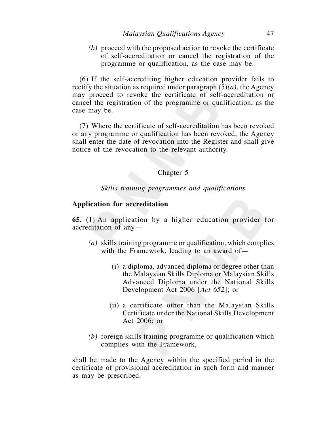*(b)* proceed with the proposed action to revoke the certificate of self-accreditation or cancel the registration of the programme or qualification, as the case may be.

(6) If the self-accrediting higher education provider fails to rectify the situation as required under paragraph (5)*(a)*, the Agency may proceed to revoke the certificate of self-accreditation or cancel the registration of the programme or qualification, as the case may be.

(7) Where the certificate of self-accreditation has been revoked or any programme or qualification has been revoked, the Agency shall enter the date of revocation into the Register and shall give notice of the revocation to the relevant authority.

## Chapter 5

*Skills training programmes and qualifications*

## **Application for accreditation**

**65.** (1) An application by a higher education provider for accreditation of any—

- *(a)* skills training programme or qualification, which complies with the Framework, leading to an award of -
	- (i) a diploma, advanced diploma or degree other than the Malaysian Skills Diploma or Malaysian Skills Advanced Diploma under the National Skills Development Act 2006 [*Act 652*]; or
	- (ii) a certificate other than the Malaysian Skills Certificate under the National Skills Development Act 2006; or
- *(b)* foreign skills training programme or qualification which complies with the Framework,

shall be made to the Agency within the specified period in the certificate of provisional accreditation in such form and manner as may be prescribed.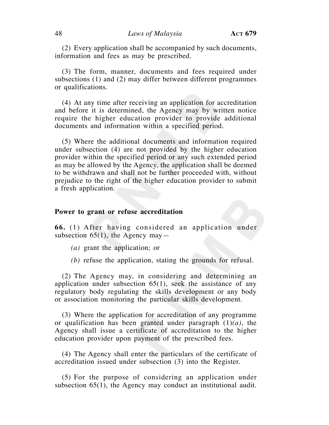(2) Every application shall be accompanied by such documents, information and fees as may be prescribed.

(3) The form, manner, documents and fees required under subsections (1) and (2) may differ between different programmes or qualifications.

(4) At any time after receiving an application for accreditation and before it is determined, the Agency may by written notice require the higher education provider to provide additional documents and information within a specified period.

(5) Where the additional documents and information required under subsection (4) are not provided by the higher education provider within the specified period or any such extended period as may be allowed by the Agency, the application shall be deemed to be withdrawn and shall not be further proceeded with, without prejudice to the right of the higher education provider to submit a fresh application.

#### **Power to grant or refuse accreditation**

**66.** (1) After having considered an application under subsection 65(1), the Agency may—

- *(a)* grant the application; or
- *(b)* refuse the application, stating the grounds for refusal.

(2) The Agency may, in considering and determining an application under subsection  $65(1)$ , seek the assistance of any regulatory body regulating the skills development or any body or association monitoring the particular skills development.

(3) Where the application for accreditation of any programme or qualification has been granted under paragraph (1)*(a)*, the Agency shall issue a certificate of accreditation to the higher education provider upon payment of the prescribed fees.

(4) The Agency shall enter the particulars of the certificate of accreditation issued under subsection (3) into the Register.

(5) For the purpose of considering an application under subsection 65(1), the Agency may conduct an institutional audit.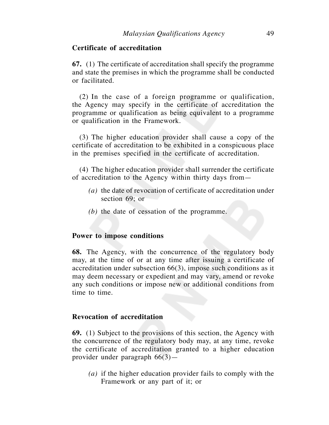## **Certificate of accreditation**

**67.** (1) The certificate of accreditation shall specify the programme and state the premises in which the programme shall be conducted or facilitated.

(2) In the case of a foreign programme or qualification, the Agency may specify in the certificate of accreditation the programme or qualification as being equivalent to a programme or qualification in the Framework.

(3) The higher education provider shall cause a copy of the certificate of accreditation to be exhibited in a conspicuous place in the premises specified in the certificate of accreditation.

(4) The higher education provider shall surrender the certificate of accreditation to the Agency within thirty days from—

- *(a)* the date of revocation of certificate of accreditation under section 69; or
- *(b)* the date of cessation of the programme.

## **Power to impose conditions**

**68.** The Agency, with the concurrence of the regulatory body may, at the time of or at any time after issuing a certificate of accreditation under subsection 66(3), impose such conditions as it may deem necessary or expedient and may vary, amend or revoke any such conditions or impose new or additional conditions from time to time.

## **Revocation of accreditation**

**69.** (1) Subject to the provisions of this section, the Agency with the concurrence of the regulatory body may, at any time, revoke the certificate of accreditation granted to a higher education provider under paragraph 66(3)—

*(a)* if the higher education provider fails to comply with the Framework or any part of it; or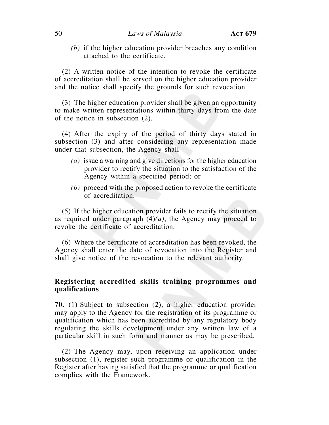*(b)* if the higher education provider breaches any condition attached to the certificate.

(2) A written notice of the intention to revoke the certificate of accreditation shall be served on the higher education provider and the notice shall specify the grounds for such revocation.

(3) The higher education provider shall be given an opportunity to make written representations within thirty days from the date of the notice in subsection (2).

(4) After the expiry of the period of thirty days stated in subsection (3) and after considering any representation made under that subsection, the Agency shall—

- *(a)* issue a warning and give directions for the higher education provider to rectify the situation to the satisfaction of the Agency within a specified period; or
- *(b)* proceed with the proposed action to revoke the certificate of accreditation.

(5) If the higher education provider fails to rectify the situation as required under paragraph  $(4)(a)$ , the Agency may proceed to revoke the certificate of accreditation.

(6) Where the certificate of accreditation has been revoked, the Agency shall enter the date of revocation into the Register and shall give notice of the revocation to the relevant authority.

## **Registering accredited skills training programmes and qualifications**

**70.** (1) Subject to subsection (2), a higher education provider may apply to the Agency for the registration of its programme or qualification which has been accredited by any regulatory body regulating the skills development under any written law of a particular skill in such form and manner as may be prescribed.

(2) The Agency may, upon receiving an application under subsection (1), register such programme or qualification in the Register after having satisfied that the programme or qualification complies with the Framework.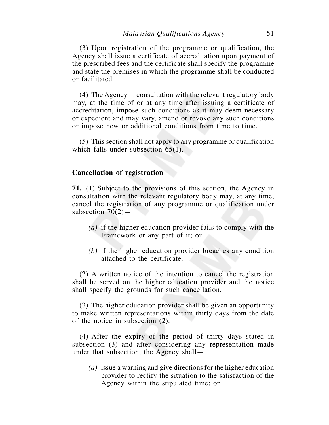(3) Upon registration of the programme or qualification, the Agency shall issue a certificate of accreditation upon payment of the prescribed fees and the certificate shall specify the programme and state the premises in which the programme shall be conducted or facilitated.

(4) The Agency in consultation with the relevant regulatory body may, at the time of or at any time after issuing a certificate of accreditation, impose such conditions as it may deem necessary or expedient and may vary, amend or revoke any such conditions or impose new or additional conditions from time to time.

(5) This section shall not apply to any programme or qualification which falls under subsection 65(1).

### **Cancellation of registration**

**71.** (1) Subject to the provisions of this section, the Agency in consultation with the relevant regulatory body may, at any time, cancel the registration of any programme or qualification under subsection  $70(2)$ —

- *(a)* if the higher education provider fails to comply with the Framework or any part of it; or
- *(b)* if the higher education provider breaches any condition attached to the certificate.

(2) A written notice of the intention to cancel the registration shall be served on the higher education provider and the notice shall specify the grounds for such cancellation.

(3) The higher education provider shall be given an opportunity to make written representations within thirty days from the date of the notice in subsection (2).

(4) After the expiry of the period of thirty days stated in subsection (3) and after considering any representation made under that subsection, the Agency shall—

*(a)* issue a warning and give directions for the higher education provider to rectify the situation to the satisfaction of the Agency within the stipulated time; or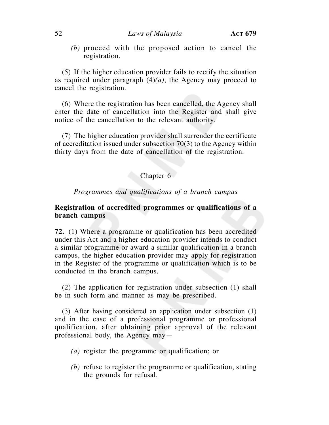*(b)* proceed with the proposed action to cancel the registration.

(5) If the higher education provider fails to rectify the situation as required under paragraph  $(4)(a)$ , the Agency may proceed to cancel the registration.

(6) Where the registration has been cancelled, the Agency shall enter the date of cancellation into the Register and shall give notice of the cancellation to the relevant authority.

(7) The higher education provider shall surrender the certificate of accreditation issued under subsection 70(3) to the Agency within thirty days from the date of cancellation of the registration.

# Chapter 6

*Programmes and qualifications of a branch campus*

# **Registration of accredited programmes or qualifications of a branch campus**

**72.** (1) Where a programme or qualification has been accredited under this Act and a higher education provider intends to conduct a similar programme or award a similar qualification in a branch campus, the higher education provider may apply for registration in the Register of the programme or qualification which is to be conducted in the branch campus.

(2) The application for registration under subsection (1) shall be in such form and manner as may be prescribed.

(3) After having considered an application under subsection (1) and in the case of a professional programme or professional qualification, after obtaining prior approval of the relevant professional body, the Agency may—

- *(a)* register the programme or qualification; or
- *(b)* refuse to register the programme or qualification, stating the grounds for refusal.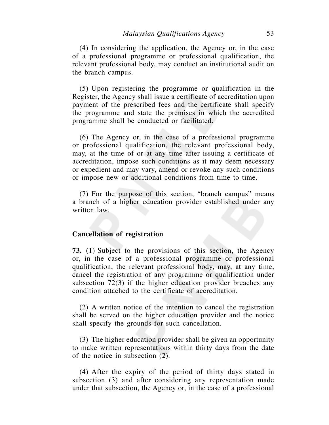(4) In considering the application, the Agency or, in the case of a professional programme or professional qualification, the relevant professional body, may conduct an institutional audit on the branch campus.

 (5) Upon registering the programme or qualification in the Register, the Agency shall issue a certificate of accreditation upon payment of the prescribed fees and the certificate shall specify the programme and state the premises in which the accredited programme shall be conducted or facilitated.

 (6) The Agency or, in the case of a professional programme or professional qualification, the relevant professional body, may, at the time of or at any time after issuing a certificate of accreditation, impose such conditions as it may deem necessary or expedient and may vary, amend or revoke any such conditions or impose new or additional conditions from time to time.

 (7) For the purpose of this section, "branch campus" means a branch of a higher education provider established under any written law.

### **Cancellation of registration**

**73.** (1) Subject to the provisions of this section, the Agency or, in the case of a professional programme or professional qualification, the relevant professional body, may, at any time, cancel the registration of any programme or qualification under subsection 72(3) if the higher education provider breaches any condition attached to the certificate of accreditation.

 (2) A written notice of the intention to cancel the registration shall be served on the higher education provider and the notice shall specify the grounds for such cancellation.

 (3) The higher education provider shall be given an opportunity to make written representations within thirty days from the date of the notice in subsection (2).

 (4) After the expiry of the period of thirty days stated in subsection (3) and after considering any representation made under that subsection, the Agency or, in the case of a professional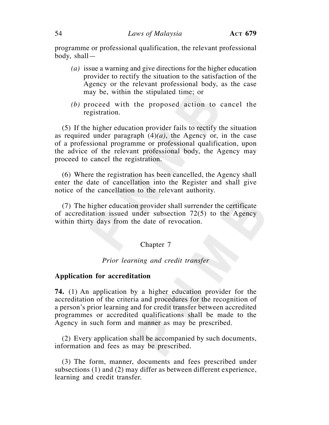programme or professional qualification, the relevant professional body, shall—

- *(a)* issue a warning and give directions for the higher education provider to rectify the situation to the satisfaction of the Agency or the relevant professional body, as the case may be, within the stipulated time; or
- *(b)* proceed with the proposed action to cancel the registration.

 (5) If the higher education provider fails to rectify the situation as required under paragraph  $(4)(a)$ , the Agency or, in the case of a professional programme or professional qualification, upon the advice of the relevant professional body, the Agency may proceed to cancel the registration.

 (6) Where the registration has been cancelled, the Agency shall enter the date of cancellation into the Register and shall give notice of the cancellation to the relevant authority.

 (7) The higher education provider shall surrender the certificate of accreditation issued under subsection 72(5) to the Agency within thirty days from the date of revocation.

## Chapter 7

## *Prior learning and credit transfer*

## **Application for accreditation**

**74.** (1) An application by a higher education provider for the accreditation of the criteria and procedures for the recognition of a person's prior learning and for credit transfer between accredited programmes or accredited qualifications shall be made to the Agency in such form and manner as may be prescribed.

 (2) Every application shall be accompanied by such documents, information and fees as may be prescribed.

 (3) The form, manner, documents and fees prescribed under subsections (1) and (2) may differ as between different experience, learning and credit transfer.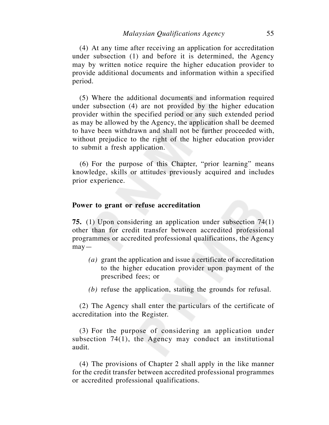(4) At any time after receiving an application for accreditation under subsection (1) and before it is determined, the Agency may by written notice require the higher education provider to provide additional documents and information within a specified period.

 (5) Where the additional documents and information required under subsection (4) are not provided by the higher education provider within the specified period or any such extended period as may be allowed by the Agency, the application shall be deemed to have been withdrawn and shall not be further proceeded with, without prejudice to the right of the higher education provider to submit a fresh application.

 (6) For the purpose of this Chapter, "prior learning" means knowledge, skills or attitudes previously acquired and includes prior experience.

## **Power to grant or refuse accreditation**

**75.** (1) Upon considering an application under subsection 74(1) other than for credit transfer between accredited professional programmes or accredited professional qualifications, the Agency  $may-$ 

- *(a)* grant the application and issue a certificate of accreditation to the higher education provider upon payment of the prescribed fees; or
- *(b)* refuse the application, stating the grounds for refusal.

 (2) The Agency shall enter the particulars of the certificate of accreditation into the Register.

 (3) For the purpose of considering an application under subsection 74(1), the Agency may conduct an institutional audit.

 (4) The provisions of Chapter 2 shall apply in the like manner for the credit transfer between accredited professional programmes or accredited professional qualifications.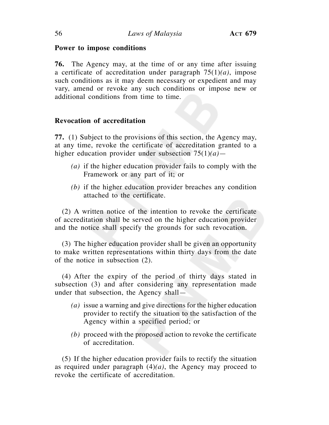## **Power to impose conditions**

**76.** The Agency may, at the time of or any time after issuing a certificate of accreditation under paragraph 75(1)*(a)*, impose such conditions as it may deem necessary or expedient and may vary, amend or revoke any such conditions or impose new or additional conditions from time to time.

# **Revocation of accreditation**

**77.** (1) Subject to the provisions of this section, the Agency may, at any time, revoke the certificate of accreditation granted to a higher education provider under subsection 75(1)*(a)*—

- *(a)* if the higher education provider fails to comply with the Framework or any part of it; or
- *(b)* if the higher education provider breaches any condition attached to the certificate.

 (2) A written notice of the intention to revoke the certificate of accreditation shall be served on the higher education provider and the notice shall specify the grounds for such revocation.

 (3) The higher education provider shall be given an opportunity to make written representations within thirty days from the date of the notice in subsection (2).

 (4) After the expiry of the period of thirty days stated in subsection (3) and after considering any representation made under that subsection, the Agency shall—

- *(a)* issue a warning and give directions for the higher education provider to rectify the situation to the satisfaction of the Agency within a specified period; or
- *(b)* proceed with the proposed action to revoke the certificate of accreditation.

 (5) If the higher education provider fails to rectify the situation as required under paragraph (4)*(a)*, the Agency may proceed to revoke the certificate of accreditation.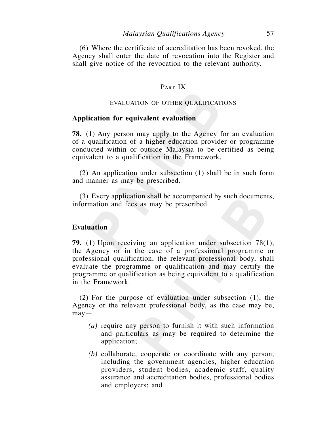(6) Where the certificate of accreditation has been revoked, the Agency shall enter the date of revocation into the Register and shall give notice of the revocation to the relevant authority.

## PART IX

#### EVALUATION OF OTHER QUALIFICATIONS

## **Application for equivalent evaluation**

**78.** (1) Any person may apply to the Agency for an evaluation of a qualification of a higher education provider or programme conducted within or outside Malaysia to be certified as being equivalent to a qualification in the Framework.

 (2) An application under subsection (1) shall be in such form and manner as may be prescribed.

 (3) Every application shall be accompanied by such documents, information and fees as may be prescribed.

#### **Evaluation**

**79.** (1) Upon receiving an application under subsection 78(1), the Agency or in the case of a professional programme or professional qualification, the relevant professional body, shall evaluate the programme or qualification and may certify the programme or qualification as being equivalent to a qualification in the Framework.

 (2) For the purpose of evaluation under subsection (1), the Agency or the relevant professional body, as the case may be, may—

- *(a)* require any person to furnish it with such information and particulars as may be required to determine the application;
- *(b)* collaborate, cooperate or coordinate with any person, including the government agencies, higher education providers, student bodies, academic staff, quality assurance and accreditation bodies, professional bodies and employers; and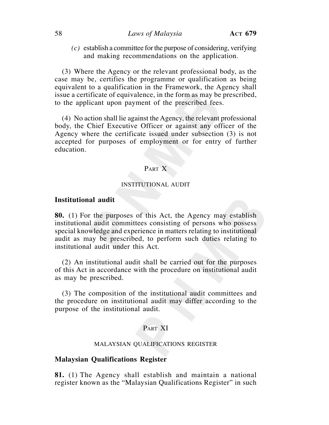*(c)* establish a committee for the purpose of considering, verifying and making recommendations on the application.

 (3) Where the Agency or the relevant professional body, as the case may be, certifies the programme or qualification as being equivalent to a qualification in the Framework, the Agency shall issue a certificate of equivalence, in the form as may be prescribed, to the applicant upon payment of the prescribed fees.

 (4) No action shall lie against the Agency, the relevant professional body, the Chief Executive Officer or against any officer of the Agency where the certificate issued under subsection (3) is not accepted for purposes of employment or for entry of further education.

## PART X

### INSTITUTIONAL AUDIT

### **Institutional audit**

**80.** (1) For the purposes of this Act, the Agency may establish institutional audit committees consisting of persons who possess special knowledge and experience in matters relating to institutional audit as may be prescribed, to perform such duties relating to institutional audit under this Act.

 (2) An institutional audit shall be carried out for the purposes of this Act in accordance with the procedure on institutional audit as may be prescribed.

 (3) The composition of the institutional audit committees and the procedure on institutional audit may differ according to the purpose of the institutional audit.

## PART XI

#### MALAYSIAN QUALIFICATIONS REGISTER

#### **Malaysian Qualifications Register**

**81.** (1) The Agency shall establish and maintain a national register known as the "Malaysian Qualifications Register" in such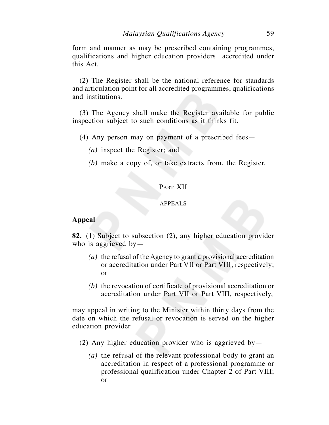form and manner as may be prescribed containing programmes, qualifications and higher education providers accredited under this Act.

 (2) The Register shall be the national reference for standards and articulation point for all accredited programmes, qualifications and institutions.

 (3) The Agency shall make the Register available for public inspection subject to such conditions as it thinks fit.

- (4) Any person may on payment of a prescribed fees—
	- *(a)* inspect the Register; and
	- *(b)* make a copy of, or take extracts from, the Register.

## PART XII

## APPEALS

## **Appeal**

**82.** (1) Subject to subsection (2), any higher education provider who is aggrieved by  $-$ 

- *(a)* the refusal of the Agency to grant a provisional accreditation or accreditation under Part VII or Part VIII, respectively; or
- *(b)* the revocation of certificate of provisional accreditation or accreditation under Part VII or Part VIII, respectively,

may appeal in writing to the Minister within thirty days from the date on which the refusal or revocation is served on the higher education provider.

- (2) Any higher education provider who is aggrieved by  $-$ 
	- *(a)* the refusal of the relevant professional body to grant an accreditation in respect of a professional programme or professional qualification under Chapter 2 of Part VIII; or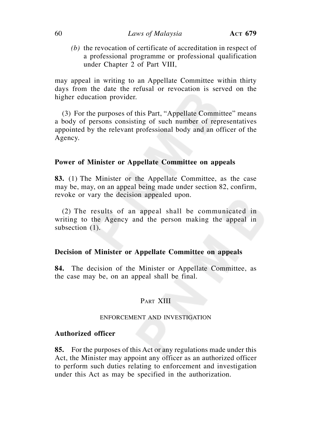## 60 *Laws of Malaysia* **ACT 679**

*(b)* the revocation of certificate of accreditation in respect of a professional programme or professional qualification under Chapter 2 of Part VIII,

may appeal in writing to an Appellate Committee within thirty days from the date the refusal or revocation is served on the higher education provider.

 (3) For the purposes of this Part, "Appellate Committee" means a body of persons consisting of such number of representatives appointed by the relevant professional body and an officer of the Agency.

## **Power of Minister or Appellate Committee on appeals**

**83.** (1) The Minister or the Appellate Committee, as the case may be, may, on an appeal being made under section 82, confirm, revoke or vary the decision appealed upon.

 (2) The results of an appeal shall be communicated in writing to the Agency and the person making the appeal in subsection  $(1)$ .

## **Decision of Minister or Appellate Committee on appeals**

**84.** The decision of the Minister or Appellate Committee, as the case may be, on an appeal shall be final.

## PART XIII

#### ENFORCEMENT AND INVESTIGATION

### **Authorized officer**

**85.** For the purposes of this Act or any regulations made under this Act, the Minister may appoint any officer as an authorized officer to perform such duties relating to enforcement and investigation under this Act as may be specified in the authorization.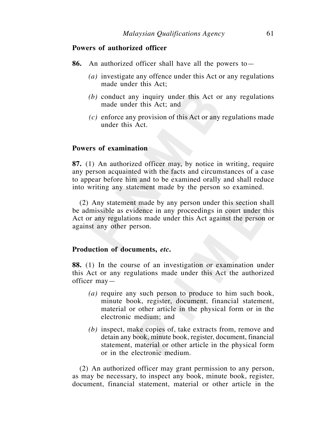## **Powers of authorized officer**

- **86.** An authorized officer shall have all the powers to—
	- *(a)* investigate any offence under this Act or any regulations made under this Act;
	- *(b)* conduct any inquiry under this Act or any regulations made under this Act; and
	- *(c)* enforce any provision of this Act or any regulations made under this Act.

## **Powers of examination**

**87.** (1) An authorized officer may, by notice in writing, require any person acquainted with the facts and circumstances of a case to appear before him and to be examined orally and shall reduce into writing any statement made by the person so examined.

 (2) Any statement made by any person under this section shall be admissible as evidence in any proceedings in court under this Act or any regulations made under this Act against the person or against any other person.

#### **Production of documents,** *etc***.**

**88.** (1) In the course of an investigation or examination under this Act or any regulations made under this Act the authorized officer may—

- *(a)* require any such person to produce to him such book, minute book, register, document, financial statement, material or other article in the physical form or in the electronic medium; and
- *(b)* inspect, make copies of, take extracts from, remove and detain any book, minute book, register, document, financial statement, material or other article in the physical form or in the electronic medium.

 (2) An authorized officer may grant permission to any person, as may be necessary, to inspect any book, minute book, register, document, financial statement, material or other article in the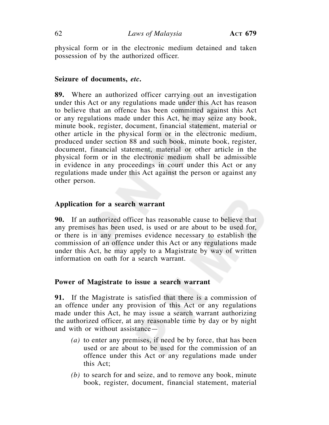physical form or in the electronic medium detained and taken possession of by the authorized officer.

## **Seizure of documents,** *etc***.**

**89.** Where an authorized officer carrying out an investigation under this Act or any regulations made under this Act has reason to believe that an offence has been committed against this Act or any regulations made under this Act, he may seize any book, minute book, register, document, financial statement, material or other article in the physical form or in the electronic medium, produced under section 88 and such book, minute book, register, document, financial statement, material or other article in the physical form or in the electronic medium shall be admissible in evidence in any proceedings in court under this Act or any regulations made under this Act against the person or against any other person.

## **Application for a search warrant**

**90.** If an authorized officer has reasonable cause to believe that any premises has been used, is used or are about to be used for, or there is in any premises evidence necessary to establish the commission of an offence under this Act or any regulations made under this Act, he may apply to a Magistrate by way of written information on oath for a search warrant.

## **Power of Magistrate to issue a search warrant**

**91.** If the Magistrate is satisfied that there is a commission of an offence under any provision of this Act or any regulations made under this Act, he may issue a search warrant authorizing the authorized officer, at any reasonable time by day or by night and with or without assistance—

- *(a)* to enter any premises, if need be by force, that has been used or are about to be used for the commission of an offence under this Act or any regulations made under this Act;
- *(b)* to search for and seize, and to remove any book, minute book, register, document, financial statement, material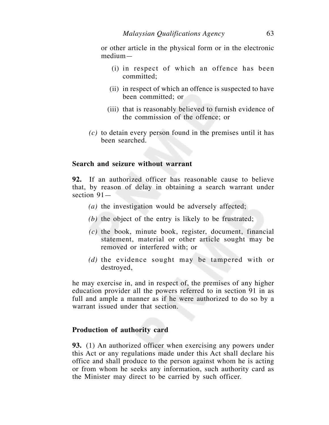or other article in the physical form or in the electronic medium—

- (i) in respect of which an offence has been committed;
- (ii) in respect of which an offence is suspected to have been committed; or
- (iii) that is reasonably believed to furnish evidence of the commission of the offence; or
- *(c)* to detain every person found in the premises until it has been searched.

## **Search and seizure without warrant**

**92.** If an authorized officer has reasonable cause to believe that, by reason of delay in obtaining a search warrant under section 91—

- *(a)* the investigation would be adversely affected;
- *(b)* the object of the entry is likely to be frustrated;
- *(c)* the book, minute book, register, document, financial statement, material or other article sought may be removed or interfered with; or
- *(d)* the evidence sought may be tampered with or destroyed,

he may exercise in, and in respect of, the premises of any higher education provider all the powers referred to in section 91 in as full and ample a manner as if he were authorized to do so by a warrant issued under that section.

#### **Production of authority card**

**93.** (1) An authorized officer when exercising any powers under this Act or any regulations made under this Act shall declare his office and shall produce to the person against whom he is acting or from whom he seeks any information, such authority card as the Minister may direct to be carried by such officer.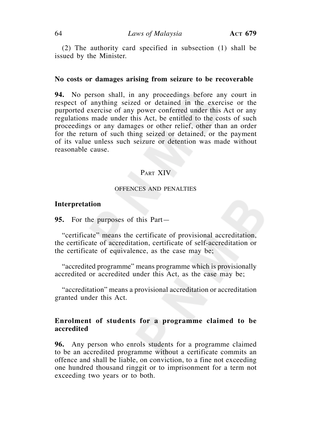(2) The authority card specified in subsection (1) shall be issued by the Minister.

### **No costs or damages arising from seizure to be recoverable**

**94.** No person shall, in any proceedings before any court in respect of anything seized or detained in the exercise or the purported exercise of any power conferred under this Act or any regulations made under this Act, be entitled to the costs of such proceedings or any damages or other relief, other than an order for the return of such thing seized or detained, or the payment of its value unless such seizure or detention was made without reasonable cause.

## PART XIV

#### OFFENCES AND PENALTIES

## **Interpretation**

**95.** For the purposes of this Part—

 "certificate" means the certificate of provisional accreditation, the certificate of accreditation, certificate of self-accreditation or the certificate of equivalence, as the case may be;

 "accredited programme" means programme which is provisionally accredited or accredited under this Act, as the case may be;

 "accreditation" means a provisional accreditation or accreditation granted under this Act.

## **Enrolment of students for a programme claimed to be accredited**

**96.** Any person who enrols students for a programme claimed to be an accredited programme without a certificate commits an offence and shall be liable, on conviction, to a fine not exceeding one hundred thousand ringgit or to imprisonment for a term not exceeding two years or to both.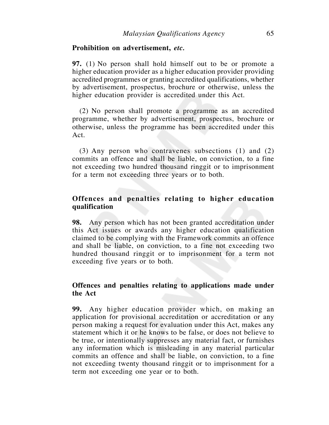### **Prohibition on advertisement,** *etc.*

**97.** (1) No person shall hold himself out to be or promote a higher education provider as a higher education provider providing accredited programmes or granting accredited qualifications, whether by advertisement, prospectus, brochure or otherwise, unless the higher education provider is accredited under this Act.

 (2) No person shall promote a programme as an accredited programme, whether by advertisement, prospectus, brochure or otherwise, unless the programme has been accredited under this Act.

 (3) Any person who contravenes subsections (1) and (2) commits an offence and shall be liable, on conviction, to a fine not exceeding two hundred thousand ringgit or to imprisonment for a term not exceeding three years or to both.

# **Offences and penalties relating to higher education qualification**

**98.** Any person which has not been granted accreditation under this Act issues or awards any higher education qualification claimed to be complying with the Framework commits an offence and shall be liable, on conviction, to a fine not exceeding two hundred thousand ringgit or to imprisonment for a term not exceeding five years or to both.

# **Offences and penalties relating to applications made under the Act**

**99.** Any higher education provider which, on making an application for provisional accreditation or accreditation or any person making a request for evaluation under this Act, makes any statement which it or he knows to be false, or does not believe to be true, or intentionally suppresses any material fact, or furnishes any information which is misleading in any material particular commits an offence and shall be liable, on conviction, to a fine not exceeding twenty thousand ringgit or to imprisonment for a term not exceeding one year or to both.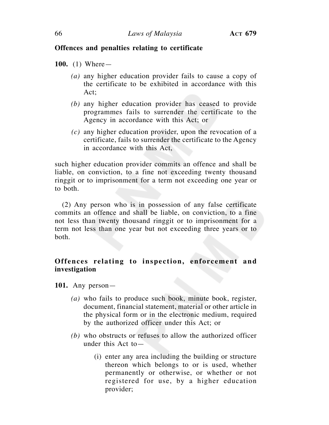# **Offences and penalties relating to certificate**

**100.** (1) Where—

- *(a)* any higher education provider fails to cause a copy of the certificate to be exhibited in accordance with this Act;
- *(b)* any higher education provider has ceased to provide programmes fails to surrender the certificate to the Agency in accordance with this Act; or
- *(c)* any higher education provider, upon the revocation of a certificate, fails to surrender the certificate to the Agency in accordance with this Act,

such higher education provider commits an offence and shall be liable, on conviction, to a fine not exceeding twenty thousand ringgit or to imprisonment for a term not exceeding one year or to both.

 (2) Any person who is in possession of any false certificate commits an offence and shall be liable, on conviction, to a fine not less than twenty thousand ringgit or to imprisonment for a term not less than one year but not exceeding three years or to both.

# **Offences relating to inspection, enforcement and investigation**

**101.** Any person—

- *(a)* who fails to produce such book, minute book, register, document, financial statement, material or other article in the physical form or in the electronic medium, required by the authorized officer under this Act; or
- *(b)* who obstructs or refuses to allow the authorized officer under this Act to—
	- (i) enter any area including the building or structure thereon which belongs to or is used, whether permanently or otherwise, or whether or not registered for use, by a higher education provider;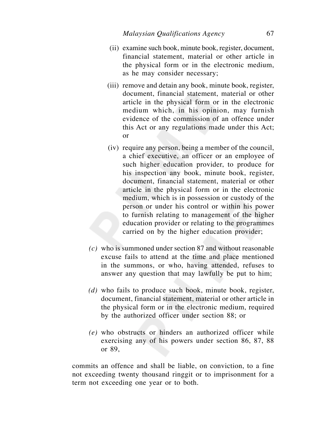- (ii) examine such book, minute book, register, document, financial statement, material or other article in the physical form or in the electronic medium, as he may consider necessary;
- (iii) remove and detain any book, minute book, register, document, financial statement, material or other article in the physical form or in the electronic medium which, in his opinion, may furnish evidence of the commission of an offence under this Act or any regulations made under this Act; or
- (iv) require any person, being a member of the council, a chief executive, an officer or an employee of such higher education provider, to produce for his inspection any book, minute book, register, document, financial statement, material or other article in the physical form or in the electronic medium, which is in possession or custody of the person or under his control or within his power to furnish relating to management of the higher education provider or relating to the programmes carried on by the higher education provider;
- *(c)* who is summoned under section 87 and without reasonable excuse fails to attend at the time and place mentioned in the summons, or who, having attended, refuses to answer any question that may lawfully be put to him;
- *(d)* who fails to produce such book, minute book, register, document, financial statement, material or other article in the physical form or in the electronic medium, required by the authorized officer under section 88; or
- *(e)* who obstructs or hinders an authorized officer while exercising any of his powers under section 86, 87, 88 or 89,

commits an offence and shall be liable, on conviction, to a fine not exceeding twenty thousand ringgit or to imprisonment for a term not exceeding one year or to both.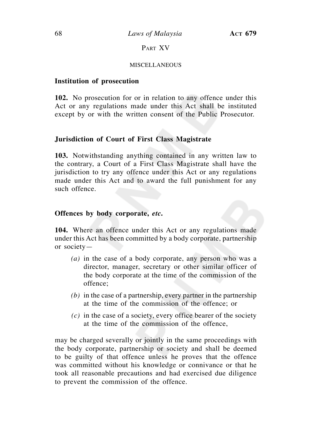68 *Laws of Malaysia* **ACT 679**

# PART XV

## **MISCELLANEOUS**

## **Institution of prosecution**

**102.** No prosecution for or in relation to any offence under this Act or any regulations made under this Act shall be instituted except by or with the written consent of the Public Prosecutor.

## **Jurisdiction of Court of First Class Magistrate**

**103.** Notwithstanding anything contained in any written law to the contrary, a Court of a First Class Magistrate shall have the jurisdiction to try any offence under this Act or any regulations made under this Act and to award the full punishment for any such offence.

## **Offences by body corporate,** *etc***.**

**104.** Where an offence under this Act or any regulations made under this Act has been committed by a body corporate, partnership or society—

- *(a)* in the case of a body corporate, any person who was a director, manager, secretary or other similar officer of the body corporate at the time of the commission of the offence;
- *(b)* in the case of a partnership, every partner in the partnership at the time of the commission of the offence; or
- *(c)* in the case of a society, every office bearer of the society at the time of the commission of the offence,

may be charged severally or jointly in the same proceedings with the body corporate, partnership or society and shall be deemed to be guilty of that offence unless he proves that the offence was committed without his knowledge or connivance or that he took all reasonable precautions and had exercised due diligence to prevent the commission of the offence.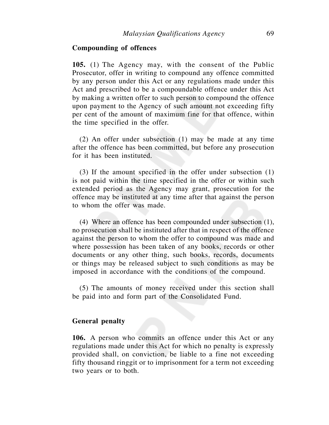## **Compounding of offences**

**105.** (1) The Agency may, with the consent of the Public Prosecutor, offer in writing to compound any offence committed by any person under this Act or any regulations made under this Act and prescribed to be a compoundable offence under this Act by making a written offer to such person to compound the offence upon payment to the Agency of such amount not exceeding fifty per cent of the amount of maximum fine for that offence, within the time specified in the offer.

 (2) An offer under subsection (1) may be made at any time after the offence has been committed, but before any prosecution for it has been instituted.

 (3) If the amount specified in the offer under subsection (1) is not paid within the time specified in the offer or within such extended period as the Agency may grant, prosecution for the offence may be instituted at any time after that against the person to whom the offer was made.

 (4) Where an offence has been compounded under subsection (1), no prosecution shall be instituted after that in respect of the offence against the person to whom the offer to compound was made and where possession has been taken of any books, records or other documents or any other thing, such books, records, documents or things may be released subject to such conditions as may be imposed in accordance with the conditions of the compound.

 (5) The amounts of money received under this section shall be paid into and form part of the Consolidated Fund.

#### **General penalty**

**106.** A person who commits an offence under this Act or any regulations made under this Act for which no penalty is expressly provided shall, on conviction, be liable to a fine not exceeding fifty thousand ringgit or to imprisonment for a term not exceeding two years or to both.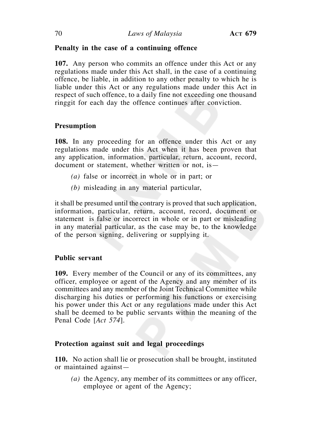# **Penalty in the case of a continuing offence**

**107.** Any person who commits an offence under this Act or any regulations made under this Act shall, in the case of a continuing offence, be liable, in addition to any other penalty to which he is liable under this Act or any regulations made under this Act in respect of such offence, to a daily fine not exceeding one thousand ringgit for each day the offence continues after conviction.

# **Presumption**

**108.** In any proceeding for an offence under this Act or any regulations made under this Act when it has been proven that any application, information, particular, return, account, record, document or statement, whether written or not, is—

- *(a)* false or incorrect in whole or in part; or
- *(b)* misleading in any material particular,

it shall be presumed until the contrary is proved that such application, information, particular, return, account, record, document or statement is false or incorrect in whole or in part or misleading in any material particular, as the case may be, to the knowledge of the person signing, delivering or supplying it.

# **Public servant**

**109.** Every member of the Council or any of its committees, any officer, employee or agent of the Agency and any member of its committees and any member of the Joint Technical Committee while discharging his duties or performing his functions or exercising his power under this Act or any regulations made under this Act shall be deemed to be public servants within the meaning of the Penal Code [*Act 574*].

# **Protection against suit and legal proceedings**

**110.** No action shall lie or prosecution shall be brought, instituted or maintained against—

*(a)* the Agency, any member of its committees or any officer, employee or agent of the Agency;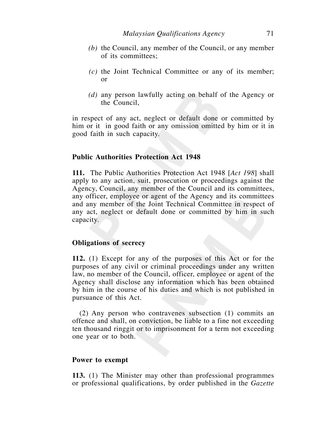- *(b)* the Council, any member of the Council, or any member of its committees;
- *(c)* the Joint Technical Committee or any of its member; or
- *(d)* any person lawfully acting on behalf of the Agency or the Council,

in respect of any act, neglect or default done or committed by him or it in good faith or any omission omitted by him or it in good faith in such capacity.

## **Public Authorities Protection Act 1948**

**111.** The Public Authorities Protection Act 1948 [*Act 198*] shall apply to any action, suit, prosecution or proceedings against the Agency, Council, any member of the Council and its committees, any officer, employee or agent of the Agency and its committees and any member of the Joint Technical Committee in respect of any act, neglect or default done or committed by him in such capacity.

### **Obligations of secrecy**

**112.** (1) Except for any of the purposes of this Act or for the purposes of any civil or criminal proceedings under any written law, no member of the Council, officer, employee or agent of the Agency shall disclose any information which has been obtained by him in the course of his duties and which is not published in pursuance of this Act.

 (2) Any person who contravenes subsection (1) commits an offence and shall, on conviction, be liable to a fine not exceeding ten thousand ringgit or to imprisonment for a term not exceeding one year or to both.

## **Power to exempt**

**113.** (1) The Minister may other than professional programmes or professional qualifications, by order published in the *Gazette*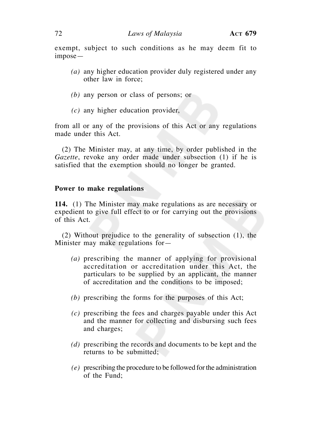exempt, subject to such conditions as he may deem fit to impose—

- *(a)* any higher education provider duly registered under any other law in force;
- *(b)* any person or class of persons; or
- *(c)* any higher education provider,

from all or any of the provisions of this Act or any regulations made under this Act.

 (2) The Minister may, at any time, by order published in the *Gazette*, revoke any order made under subsection (1) if he is satisfied that the exemption should no longer be granted.

### **Power to make regulations**

**114.** (1) The Minister may make regulations as are necessary or expedient to give full effect to or for carrying out the provisions of this Act.

 (2) Without prejudice to the generality of subsection (1), the Minister may make regulations for—

- *(a)* prescribing the manner of applying for provisional accreditation or accreditation under this Act, the particulars to be supplied by an applicant, the manner of accreditation and the conditions to be imposed;
- *(b)* prescribing the forms for the purposes of this Act;
- *(c)* prescribing the fees and charges payable under this Act and the manner for collecting and disbursing such fees and charges;
- *(d)* prescribing the records and documents to be kept and the returns to be submitted;
- *(e)* prescribing the procedure to be followed for the administration of the Fund;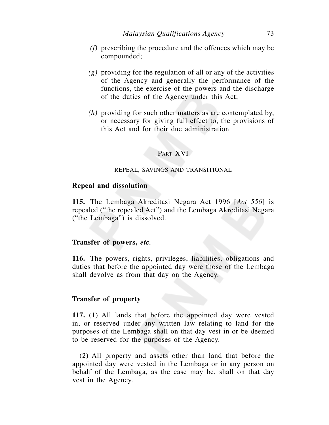- *(f)* prescribing the procedure and the offences which may be compounded;
- *(g)* providing for the regulation of all or any of the activities of the Agency and generally the performance of the functions, the exercise of the powers and the discharge of the duties of the Agency under this Act;
- *(h)* providing for such other matters as are contemplated by, or necessary for giving full effect to, the provisions of this Act and for their due administration.

# PART XVI

#### REPEAL, SAVINGS AND TRANSITIONAL

## **Repeal and dissolution**

**115.** The Lembaga Akreditasi Negara Act 1996 [*Act 556*] is repealed ("the repealed Act") and the Lembaga Akreditasi Negara ("the Lembaga") is dissolved.

## **Transfer of powers,** *etc.*

**116.** The powers, rights, privileges, liabilities, obligations and duties that before the appointed day were those of the Lembaga shall devolve as from that day on the Agency.

# **Transfer of property**

**117.** (1) All lands that before the appointed day were vested in, or reserved under any written law relating to land for the purposes of the Lembaga shall on that day vest in or be deemed to be reserved for the purposes of the Agency.

 (2) All property and assets other than land that before the appointed day were vested in the Lembaga or in any person on behalf of the Lembaga, as the case may be, shall on that day vest in the Agency.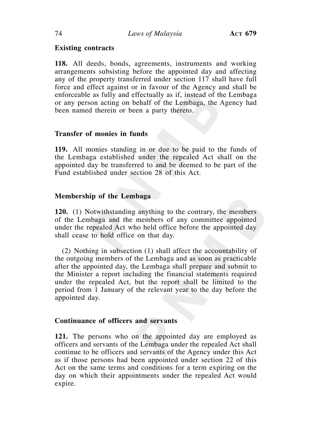# **Existing contracts**

**118.** All deeds, bonds, agreements, instruments and working arrangements subsisting before the appointed day and affecting any of the property transferred under section 117 shall have full force and effect against or in favour of the Agency and shall be enforceable as fully and effectually as if, instead of the Lembaga or any person acting on behalf of the Lembaga, the Agency had been named therein or been a party thereto.

# **Transfer of monies in funds**

**119.** All monies standing in or due to be paid to the funds of the Lembaga established under the repealed Act shall on the appointed day be transferred to and be deemed to be part of the Fund established under section 28 of this Act.

# **Membership of the Lembaga**

**120.** (1) Notwithstanding anything to the contrary, the members of the Lembaga and the members of any committee appointed under the repealed Act who held office before the appointed day shall cease to hold office on that day.

 (2) Nothing in subsection (1) shall affect the accountability of the outgoing members of the Lembaga and as soon as practicable after the appointed day, the Lembaga shall prepare and submit to the Minister a report including the financial statements required under the repealed Act, but the report shall be limited to the period from 1 January of the relevant year to the day before the appointed day.

# **Continuance of officers and servants**

**121.** The persons who on the appointed day are employed as officers and servants of the Lembaga under the repealed Act shall continue to be officers and servants of the Agency under this Act as if those persons had been appointed under section 22 of this Act on the same terms and conditions for a term expiring on the day on which their appointments under the repealed Act would expire.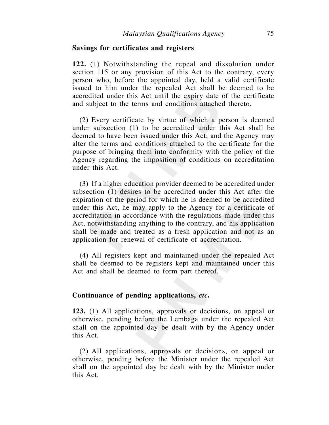# **Savings for certificates and registers**

**122.** (1) Notwithstanding the repeal and dissolution under section 115 or any provision of this Act to the contrary, every person who, before the appointed day, held a valid certificate issued to him under the repealed Act shall be deemed to be accredited under this Act until the expiry date of the certificate and subject to the terms and conditions attached thereto.

 (2) Every certificate by virtue of which a person is deemed under subsection (1) to be accredited under this Act shall be deemed to have been issued under this Act; and the Agency may alter the terms and conditions attached to the certificate for the purpose of bringing them into conformity with the policy of the Agency regarding the imposition of conditions on accreditation under this Act.

 (3) If a higher education provider deemed to be accredited under subsection (1) desires to be accredited under this Act after the expiration of the period for which he is deemed to be accredited under this Act, he may apply to the Agency for a certificate of accreditation in accordance with the regulations made under this Act, notwithstanding anything to the contrary, and his application shall be made and treated as a fresh application and not as an application for renewal of certificate of accreditation.

 (4) All registers kept and maintained under the repealed Act shall be deemed to be registers kept and maintained under this Act and shall be deemed to form part thereof.

# **Continuance of pending applications,** *etc***.**

**123.** (1) All applications, approvals or decisions, on appeal or otherwise, pending before the Lembaga under the repealed Act shall on the appointed day be dealt with by the Agency under this Act.

 (2) All applications, approvals or decisions, on appeal or otherwise, pending before the Minister under the repealed Act shall on the appointed day be dealt with by the Minister under this Act.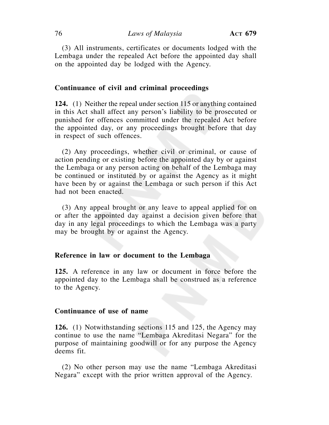(3) All instruments, certificates or documents lodged with the Lembaga under the repealed Act before the appointed day shall on the appointed day be lodged with the Agency.

### **Continuance of civil and criminal proceedings**

**124.** (1) Neither the repeal under section 115 or anything contained in this Act shall affect any person's liability to be prosecuted or punished for offences committed under the repealed Act before the appointed day, or any proceedings brought before that day in respect of such offences.

 (2) Any proceedings, whether civil or criminal, or cause of action pending or existing before the appointed day by or against the Lembaga or any person acting on behalf of the Lembaga may be continued or instituted by or against the Agency as it might have been by or against the Lembaga or such person if this Act had not been enacted.

 (3) Any appeal brought or any leave to appeal applied for on or after the appointed day against a decision given before that day in any legal proceedings to which the Lembaga was a party may be brought by or against the Agency.

### **Reference in law or document to the Lembaga**

**125.** A reference in any law or document in force before the appointed day to the Lembaga shall be construed as a reference to the Agency.

## **Continuance of use of name**

**126.** (1) Notwithstanding sections 115 and 125, the Agency may continue to use the name "Lembaga Akreditasi Negara" for the purpose of maintaining goodwill or for any purpose the Agency deems fit.

 (2) No other person may use the name "Lembaga Akreditasi Negara" except with the prior written approval of the Agency.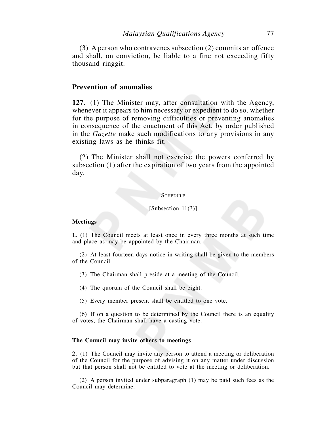(3) A person who contravenes subsection (2) commits an offence and shall, on conviction, be liable to a fine not exceeding fifty thousand ringgit.

## **Prevention of anomalies**

**127.** (1) The Minister may, after consultation with the Agency, whenever it appears to him necessary or expedient to do so, whether for the purpose of removing difficulties or preventing anomalies in consequence of the enactment of this Act, by order published in the *Gazette* make such modifications to any provisions in any existing laws as he thinks fit.

 (2) The Minister shall not exercise the powers conferred by subsection (1) after the expiration of two years from the appointed day.

#### **SCHEDULE**

#### [Subsection 11(3)]

#### **Meetings**

**1.** (1) The Council meets at least once in every three months at such time and place as may be appointed by the Chairman.

 (2) At least fourteen days notice in writing shall be given to the members of the Council.

(3) The Chairman shall preside at a meeting of the Council.

(4) The quorum of the Council shall be eight.

(5) Every member present shall be entitled to one vote.

 (6) If on a question to be determined by the Council there is an equality of votes, the Chairman shall have a casting vote.

#### **The Council may invite others to meetings**

**2.** (1) The Council may invite any person to attend a meeting or deliberation of the Council for the purpose of advising it on any matter under discussion but that person shall not be entitled to vote at the meeting or deliberation.

 (2) A person invited under subparagraph (1) may be paid such fees as the Council may determine.